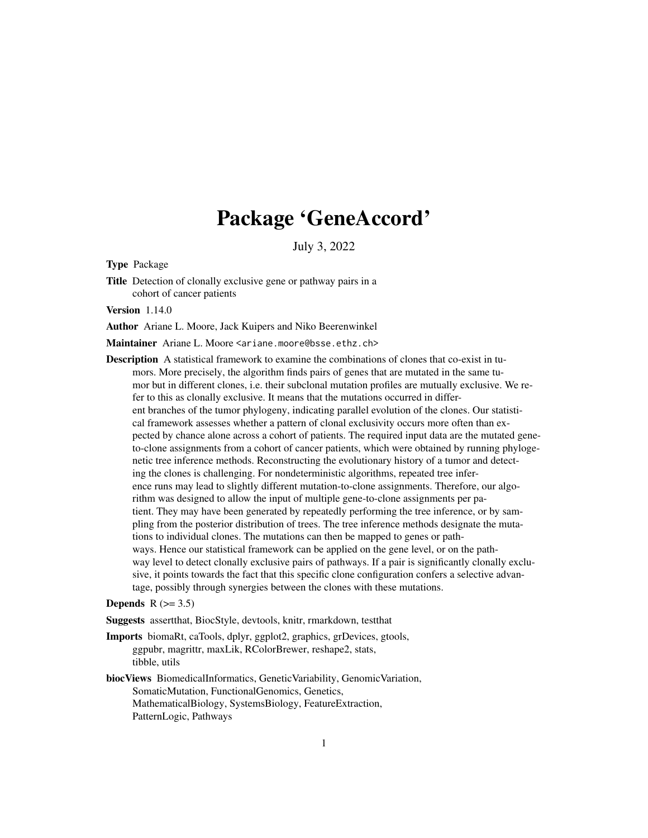# Package 'GeneAccord'

July 3, 2022

Type Package

Title Detection of clonally exclusive gene or pathway pairs in a cohort of cancer patients

Version 1.14.0

Author Ariane L. Moore, Jack Kuipers and Niko Beerenwinkel

Maintainer Ariane L. Moore <ariane.moore@bsse.ethz.ch>

Description A statistical framework to examine the combinations of clones that co-exist in tumors. More precisely, the algorithm finds pairs of genes that are mutated in the same tumor but in different clones, i.e. their subclonal mutation profiles are mutually exclusive. We refer to this as clonally exclusive. It means that the mutations occurred in different branches of the tumor phylogeny, indicating parallel evolution of the clones. Our statistical framework assesses whether a pattern of clonal exclusivity occurs more often than expected by chance alone across a cohort of patients. The required input data are the mutated geneto-clone assignments from a cohort of cancer patients, which were obtained by running phylogenetic tree inference methods. Reconstructing the evolutionary history of a tumor and detecting the clones is challenging. For nondeterministic algorithms, repeated tree inference runs may lead to slightly different mutation-to-clone assignments. Therefore, our algorithm was designed to allow the input of multiple gene-to-clone assignments per patient. They may have been generated by repeatedly performing the tree inference, or by sampling from the posterior distribution of trees. The tree inference methods designate the mutations to individual clones. The mutations can then be mapped to genes or pathways. Hence our statistical framework can be applied on the gene level, or on the pathway level to detect clonally exclusive pairs of pathways. If a pair is significantly clonally exclusive, it points towards the fact that this specific clone configuration confers a selective advantage, possibly through synergies between the clones with these mutations.

#### Depends  $R$  ( $> = 3.5$ )

Suggests assertthat, BiocStyle, devtools, knitr, rmarkdown, testthat

- Imports biomaRt, caTools, dplyr, ggplot2, graphics, grDevices, gtools, ggpubr, magrittr, maxLik, RColorBrewer, reshape2, stats, tibble, utils
- biocViews BiomedicalInformatics, GeneticVariability, GenomicVariation, SomaticMutation, FunctionalGenomics, Genetics, MathematicalBiology, SystemsBiology, FeatureExtraction, PatternLogic, Pathways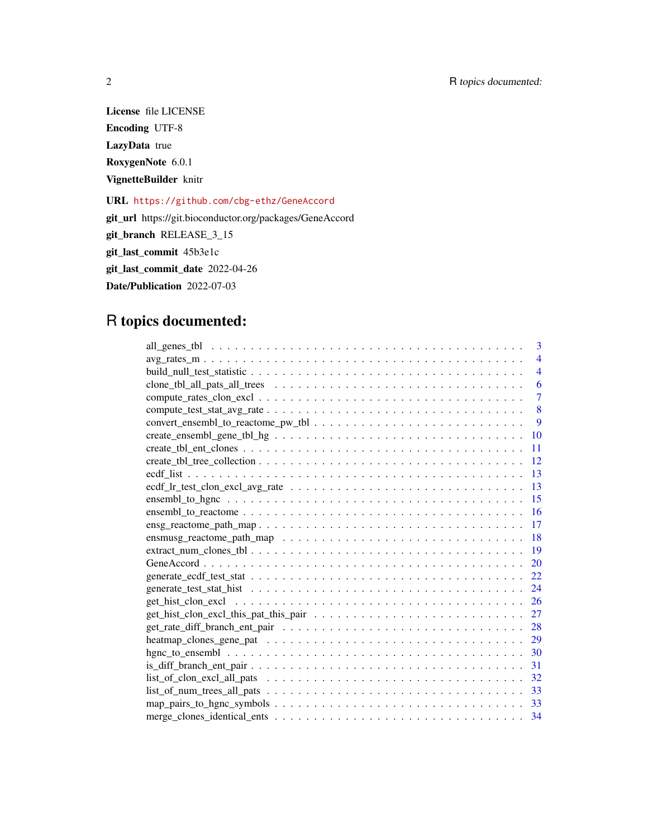License file LICENSE Encoding UTF-8 LazyData true RoxygenNote 6.0.1 VignetteBuilder knitr

URL <https://github.com/cbg-ethz/GeneAccord>

git\_url https://git.bioconductor.org/packages/GeneAccord

git\_branch RELEASE\_3\_15

git\_last\_commit 45b3e1c

git\_last\_commit\_date 2022-04-26

Date/Publication 2022-07-03

# R topics documented:

| 3                                                                                                                                  |
|------------------------------------------------------------------------------------------------------------------------------------|
| $\arg\_rates\_m \dots \dots \dots \dots \dots \dots \dots \dots \dots \dots \dots \dots \dots \dots \dots \dots$<br>$\overline{4}$ |
| $\overline{4}$                                                                                                                     |
| 6                                                                                                                                  |
| $\overline{7}$                                                                                                                     |
| 8                                                                                                                                  |
| 9                                                                                                                                  |
| <b>10</b>                                                                                                                          |
| 11                                                                                                                                 |
| 12                                                                                                                                 |
| 13                                                                                                                                 |
| 13                                                                                                                                 |
| 15                                                                                                                                 |
| 16                                                                                                                                 |
| 17<br>$\mathsf{ensg\_reactome\_path\_map$                                                                                          |
| 18                                                                                                                                 |
| 19                                                                                                                                 |
| <b>20</b>                                                                                                                          |
| 22                                                                                                                                 |
| 24                                                                                                                                 |
| 26                                                                                                                                 |
| 27                                                                                                                                 |
| 28                                                                                                                                 |
| 29                                                                                                                                 |
| 30                                                                                                                                 |
| 31                                                                                                                                 |
| 32                                                                                                                                 |
| 33                                                                                                                                 |
| 33                                                                                                                                 |
| 34                                                                                                                                 |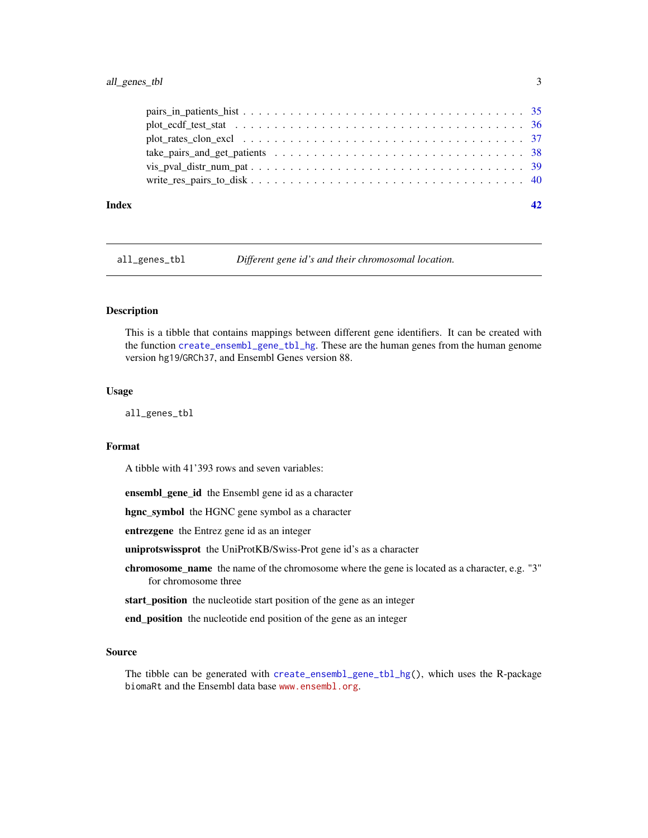# <span id="page-2-0"></span>all\_genes\_tbl 3

| Index |  |
|-------|--|
|       |  |
|       |  |
|       |  |
|       |  |
|       |  |
|       |  |

all\_genes\_tbl *Different gene id's and their chromosomal location.*

#### Description

This is a tibble that contains mappings between different gene identifiers. It can be created with the function [create\\_ensembl\\_gene\\_tbl\\_hg](#page-9-1). These are the human genes from the human genome version hg19/GRCh37, and Ensembl Genes version 88.

#### Usage

all\_genes\_tbl

#### Format

A tibble with 41'393 rows and seven variables:

ensembl\_gene\_id the Ensembl gene id as a character

hgnc\_symbol the HGNC gene symbol as a character

entrezgene the Entrez gene id as an integer

uniprotswissprot the UniProtKB/Swiss-Prot gene id's as a character

chromosome\_name the name of the chromosome where the gene is located as a character, e.g. "3" for chromosome three

start\_position the nucleotide start position of the gene as an integer

end\_position the nucleotide end position of the gene as an integer

# Source

The tibble can be generated with [create\\_ensembl\\_gene\\_tbl\\_hg\(](#page-9-1)), which uses the R-package biomaRt and the Ensembl data base <www.ensembl.org>.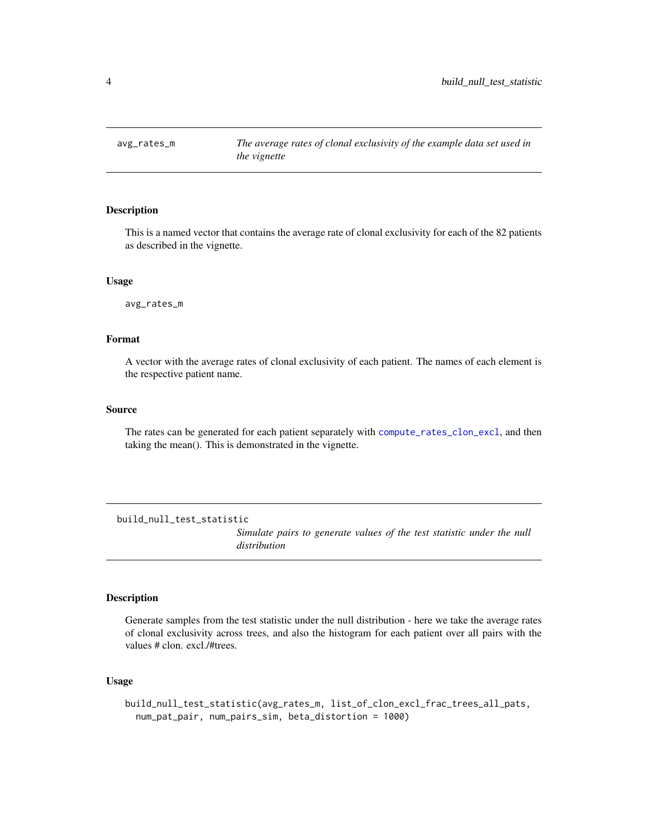<span id="page-3-0"></span>

# Description

This is a named vector that contains the average rate of clonal exclusivity for each of the 82 patients as described in the vignette.

#### Usage

avg\_rates\_m

# Format

A vector with the average rates of clonal exclusivity of each patient. The names of each element is the respective patient name.

#### Source

The rates can be generated for each patient separately with [compute\\_rates\\_clon\\_excl](#page-6-1), and then taking the mean(). This is demonstrated in the vignette.

build\_null\_test\_statistic

*Simulate pairs to generate values of the test statistic under the null distribution*

#### Description

Generate samples from the test statistic under the null distribution - here we take the average rates of clonal exclusivity across trees, and also the histogram for each patient over all pairs with the values # clon. excl./#trees.

# Usage

```
build_null_test_statistic(avg_rates_m, list_of_clon_excl_frac_trees_all_pats,
 num_pat_pair, num_pairs_sim, beta_distortion = 1000)
```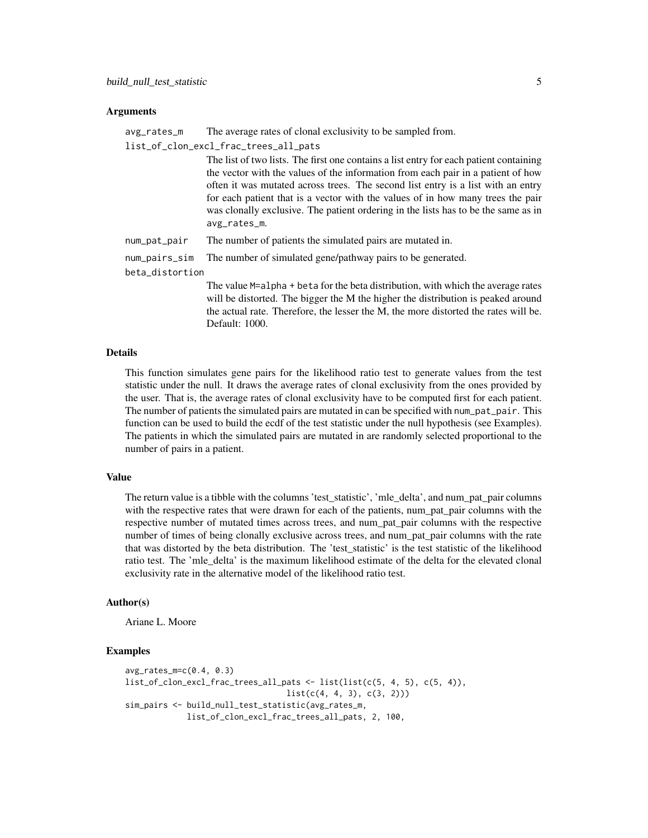#### Arguments

avg\_rates\_m The average rates of clonal exclusivity to be sampled from.

list\_of\_clon\_excl\_frac\_trees\_all\_pats

|                 | The list of two lists. The first one contains a list entry for each patient containing |
|-----------------|----------------------------------------------------------------------------------------|
|                 | the vector with the values of the information from each pair in a patient of how       |
|                 | often it was mutated across trees. The second list entry is a list with an entry       |
|                 | for each patient that is a vector with the values of in how many trees the pair        |
|                 | was clonally exclusive. The patient ordering in the lists has to be the same as in     |
|                 | avg_rates_m.                                                                           |
| num_pat_pair    | The number of patients the simulated pairs are mutated in.                             |
| num_pairs_sim   | The number of simulated gene/pathway pairs to be generated.                            |
| beta_distortion |                                                                                        |

The value M=alpha + beta for the beta distribution, with which the average rates will be distorted. The bigger the M the higher the distribution is peaked around the actual rate. Therefore, the lesser the M, the more distorted the rates will be. Default: 1000.

# Details

This function simulates gene pairs for the likelihood ratio test to generate values from the test statistic under the null. It draws the average rates of clonal exclusivity from the ones provided by the user. That is, the average rates of clonal exclusivity have to be computed first for each patient. The number of patients the simulated pairs are mutated in can be specified with num\_pat\_pair. This function can be used to build the ecdf of the test statistic under the null hypothesis (see Examples). The patients in which the simulated pairs are mutated in are randomly selected proportional to the number of pairs in a patient.

#### Value

The return value is a tibble with the columns 'test\_statistic', 'mle\_delta', and num\_pat\_pair columns with the respective rates that were drawn for each of the patients, num\_pat\_pair columns with the respective number of mutated times across trees, and num\_pat\_pair columns with the respective number of times of being clonally exclusive across trees, and num\_pat\_pair columns with the rate that was distorted by the beta distribution. The 'test\_statistic' is the test statistic of the likelihood ratio test. The 'mle delta' is the maximum likelihood estimate of the delta for the elevated clonal exclusivity rate in the alternative model of the likelihood ratio test.

#### Author(s)

Ariane L. Moore

```
avg_rates_m=c(0.4, 0.3)
list_of_clon\_excl_frac_trees\_all_pats \leftarrow list(list(c(5, 4, 5), c(5, 4)),list(c(4, 4, 3), c(3, 2)))sim_pairs <- build_null_test_statistic(avg_rates_m,
             list_of_clon_excl_frac_trees_all_pats, 2, 100,
```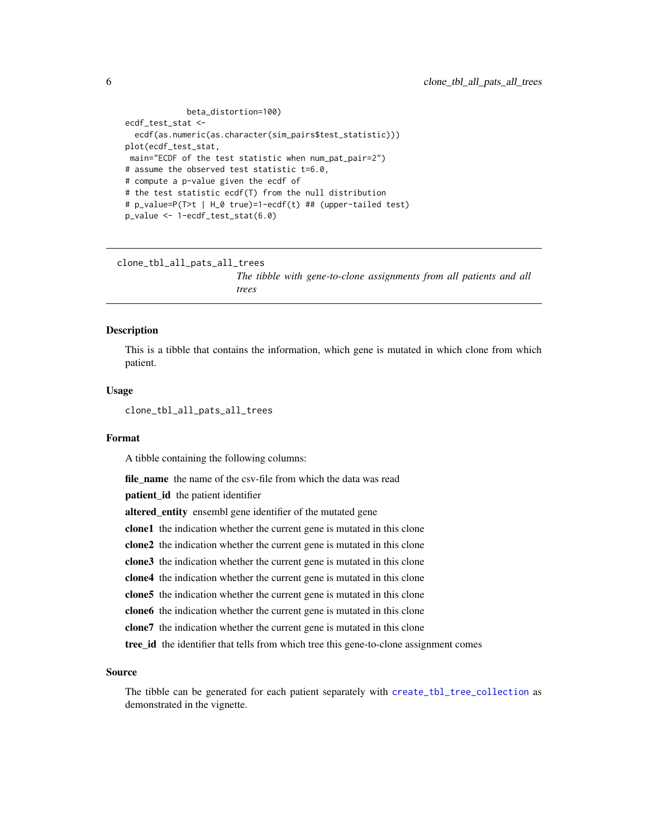```
beta_distortion=100)
ecdf_test_stat <-
 ecdf(as.numeric(as.character(sim_pairs$test_statistic)))
plot(ecdf_test_stat,
main="ECDF of the test statistic when num_pat_pair=2")
# assume the observed test statistic t=6.0,
# compute a p-value given the ecdf of
# the test statistic ecdf(T) from the null distribution
# p_value=P(T>t | H_0 true)=1-ecdf(t) ## (upper-tailed test)
p_value <- 1-ecdf_test_stat(6.0)
```
clone\_tbl\_all\_pats\_all\_trees

*The tibble with gene-to-clone assignments from all patients and all trees*

# Description

This is a tibble that contains the information, which gene is mutated in which clone from which patient.

#### Usage

clone\_tbl\_all\_pats\_all\_trees

#### Format

A tibble containing the following columns:

file\_name the name of the csv-file from which the data was read

patient\_id the patient identifier

altered\_entity ensembl gene identifier of the mutated gene

clone1 the indication whether the current gene is mutated in this clone

clone2 the indication whether the current gene is mutated in this clone

clone3 the indication whether the current gene is mutated in this clone

clone4 the indication whether the current gene is mutated in this clone

clone5 the indication whether the current gene is mutated in this clone

clone6 the indication whether the current gene is mutated in this clone

clone7 the indication whether the current gene is mutated in this clone

tree\_id the identifier that tells from which tree this gene-to-clone assignment comes

#### Source

The tibble can be generated for each patient separately with [create\\_tbl\\_tree\\_collection](#page-11-1) as demonstrated in the vignette.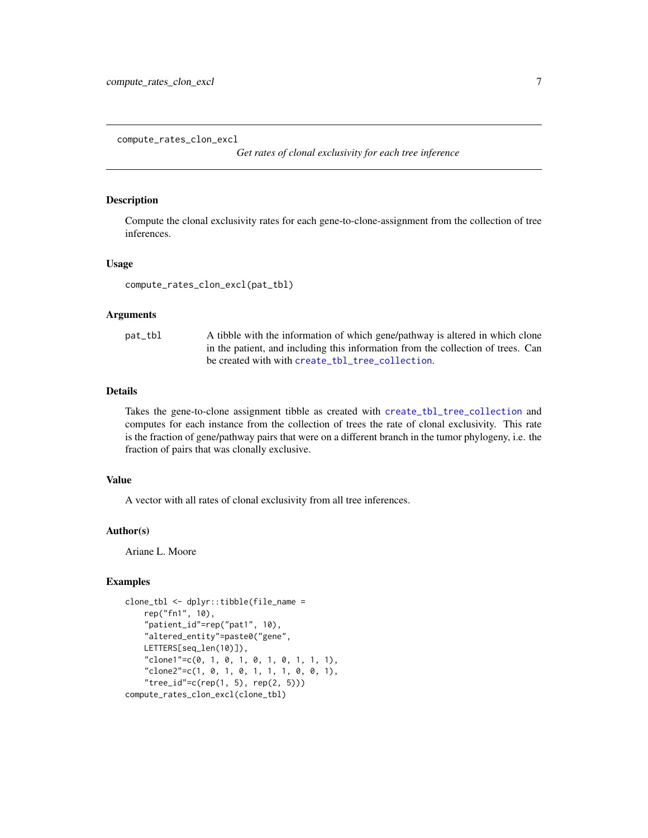<span id="page-6-1"></span><span id="page-6-0"></span>compute\_rates\_clon\_excl

*Get rates of clonal exclusivity for each tree inference*

#### Description

Compute the clonal exclusivity rates for each gene-to-clone-assignment from the collection of tree inferences.

#### Usage

compute\_rates\_clon\_excl(pat\_tbl)

#### Arguments

| pat_tbl | A tibble with the information of which gene/pathway is altered in which clone    |
|---------|----------------------------------------------------------------------------------|
|         | in the patient, and including this information from the collection of trees. Can |
|         | be created with with create_tbl_tree_collection.                                 |

# Details

Takes the gene-to-clone assignment tibble as created with [create\\_tbl\\_tree\\_collection](#page-11-1) and computes for each instance from the collection of trees the rate of clonal exclusivity. This rate is the fraction of gene/pathway pairs that were on a different branch in the tumor phylogeny, i.e. the fraction of pairs that was clonally exclusive.

# Value

A vector with all rates of clonal exclusivity from all tree inferences.

#### Author(s)

Ariane L. Moore

```
clone_tbl <- dplyr::tibble(file_name =
   rep("fn1", 10),
    "patient_id"=rep("pat1", 10),
    "altered_entity"=paste0("gene",
   LETTERS[seq_len(10)]),
    "clone1"=c(0, 1, 0, 1, 0, 1, 0, 1, 1, 1),
    "clone2"=c(1, 0, 1, 0, 1, 1, 1, 0, 0, 1),
    "tree_id" = c(rep(1, 5), rep(2, 5)))compute_rates_clon_excl(clone_tbl)
```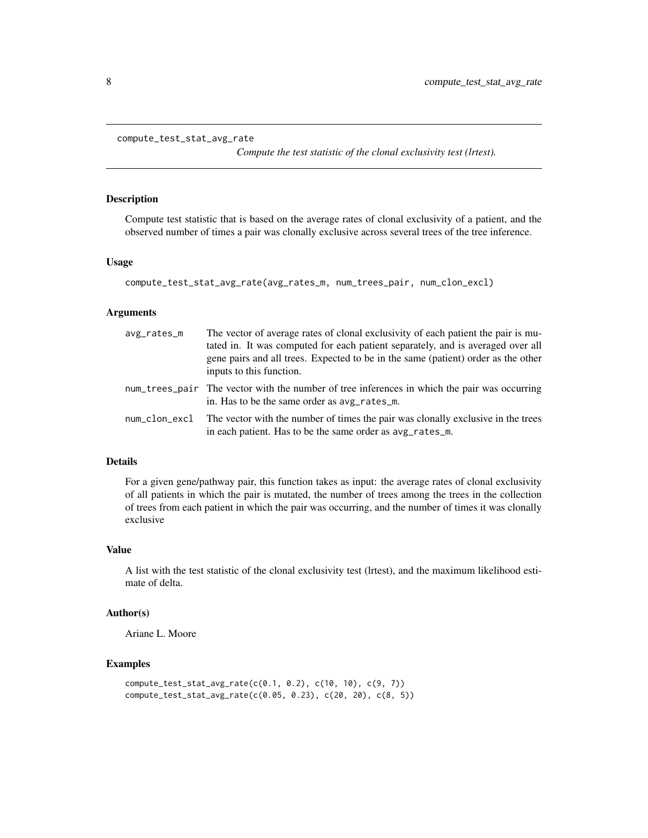```
compute_test_stat_avg_rate
```
*Compute the test statistic of the clonal exclusivity test (lrtest).*

# Description

Compute test statistic that is based on the average rates of clonal exclusivity of a patient, and the observed number of times a pair was clonally exclusive across several trees of the tree inference.

#### Usage

```
compute_test_stat_avg_rate(avg_rates_m, num_trees_pair, num_clon_excl)
```
#### **Arguments**

| avg_rates_m   | The vector of average rates of clonal exclusivity of each patient the pair is mu-<br>tated in. It was computed for each patient separately, and is averaged over all<br>gene pairs and all trees. Expected to be in the same (patient) order as the other<br>inputs to this function. |
|---------------|---------------------------------------------------------------------------------------------------------------------------------------------------------------------------------------------------------------------------------------------------------------------------------------|
|               | num_trees_pair The vector with the number of tree inferences in which the pair was occurring<br>in. Has to be the same order as avg_rates_m.                                                                                                                                          |
| num_clon_excl | The vector with the number of times the pair was clonally exclusive in the trees<br>in each patient. Has to be the same order as avg_rates_m.                                                                                                                                         |

# Details

For a given gene/pathway pair, this function takes as input: the average rates of clonal exclusivity of all patients in which the pair is mutated, the number of trees among the trees in the collection of trees from each patient in which the pair was occurring, and the number of times it was clonally exclusive

#### Value

A list with the test statistic of the clonal exclusivity test (lrtest), and the maximum likelihood estimate of delta.

#### Author(s)

Ariane L. Moore

```
compute_test_stat_avg_rate(c(0.1, 0.2), c(10, 10), c(9, 7))
compute_test_stat_avg_rate(c(0.05, 0.23), c(20, 20), c(8, 5))
```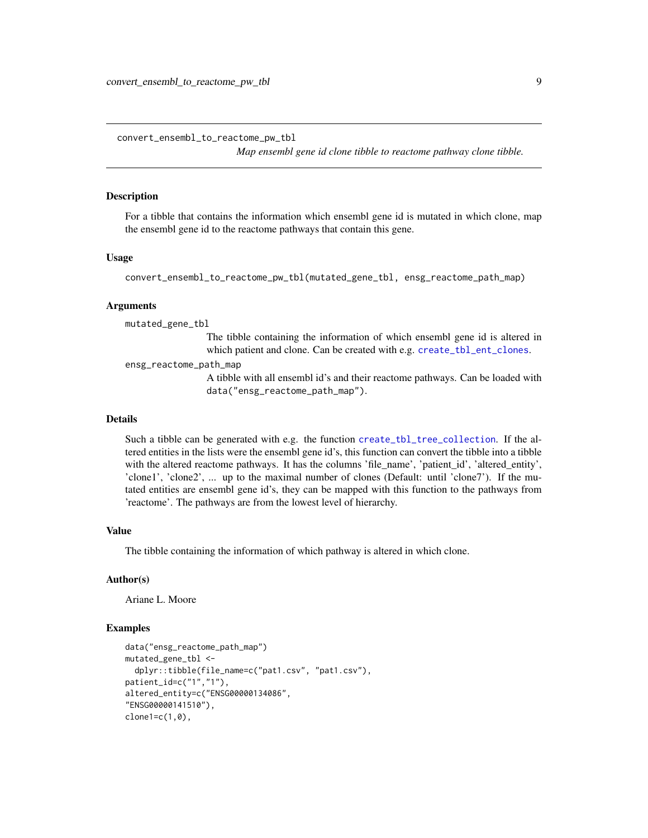<span id="page-8-0"></span>convert\_ensembl\_to\_reactome\_pw\_tbl

*Map ensembl gene id clone tibble to reactome pathway clone tibble.*

#### Description

For a tibble that contains the information which ensembl gene id is mutated in which clone, map the ensembl gene id to the reactome pathways that contain this gene.

#### Usage

convert\_ensembl\_to\_reactome\_pw\_tbl(mutated\_gene\_tbl, ensg\_reactome\_path\_map)

#### Arguments

mutated\_gene\_tbl

The tibble containing the information of which ensembl gene id is altered in which patient and clone. Can be created with e.g. [create\\_tbl\\_ent\\_clones](#page-10-1).

ensg\_reactome\_path\_map

A tibble with all ensembl id's and their reactome pathways. Can be loaded with data("ensg\_reactome\_path\_map").

# Details

Such a tibble can be generated with e.g. the function [create\\_tbl\\_tree\\_collection](#page-11-1). If the altered entities in the lists were the ensembl gene id's, this function can convert the tibble into a tibble with the altered reactome pathways. It has the columns 'file\_name', 'patient\_id', 'altered\_entity', 'clone1', 'clone2', ... up to the maximal number of clones (Default: until 'clone7'). If the mutated entities are ensembl gene id's, they can be mapped with this function to the pathways from 'reactome'. The pathways are from the lowest level of hierarchy.

#### Value

The tibble containing the information of which pathway is altered in which clone.

#### Author(s)

Ariane L. Moore

```
data("ensg_reactome_path_map")
mutated_gene_tbl <-
 dplyr::tibble(file_name=c("pat1.csv", "pat1.csv"),
patient_id=c("1","1"),
altered_entity=c("ENSG00000134086",
"ENSG00000141510"),
clone1=c(1,0),
```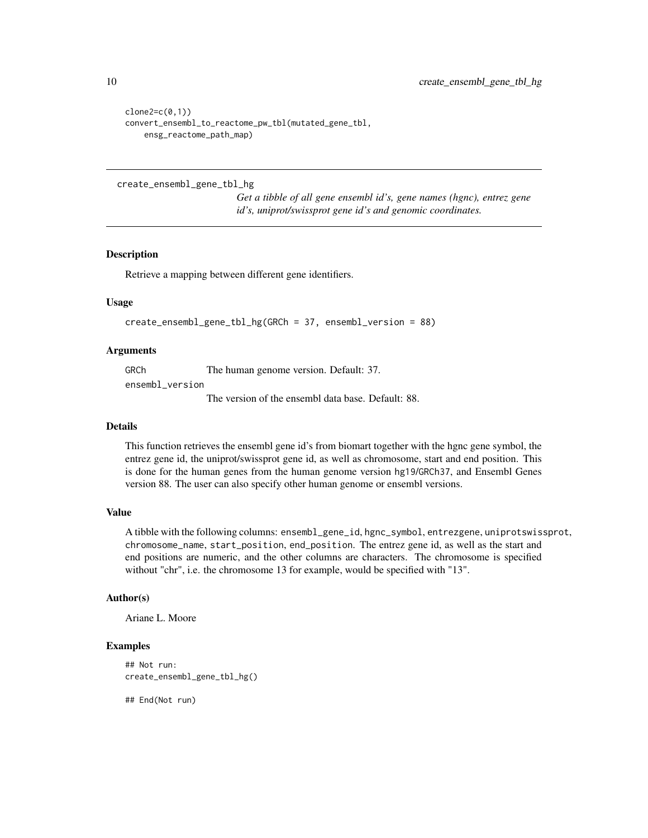```
clone2=c(0,1))convert_ensembl_to_reactome_pw_tbl(mutated_gene_tbl,
    ensg_reactome_path_map)
```
<span id="page-9-1"></span>create\_ensembl\_gene\_tbl\_hg

*Get a tibble of all gene ensembl id's, gene names (hgnc), entrez gene id's, uniprot/swissprot gene id's and genomic coordinates.*

#### Description

Retrieve a mapping between different gene identifiers.

# Usage

```
create_ensembl_gene_tbl_hg(GRCh = 37, ensembl_version = 88)
```
#### Arguments

GRCh The human genome version. Default: 37.

ensembl\_version

The version of the ensembl data base. Default: 88.

#### Details

This function retrieves the ensembl gene id's from biomart together with the hgnc gene symbol, the entrez gene id, the uniprot/swissprot gene id, as well as chromosome, start and end position. This is done for the human genes from the human genome version hg19/GRCh37, and Ensembl Genes version 88. The user can also specify other human genome or ensembl versions.

# Value

A tibble with the following columns: ensembl\_gene\_id, hgnc\_symbol, entrezgene, uniprotswissprot, chromosome\_name, start\_position, end\_position. The entrez gene id, as well as the start and end positions are numeric, and the other columns are characters. The chromosome is specified without "chr", i.e. the chromosome 13 for example, would be specified with "13".

## Author(s)

Ariane L. Moore

# Examples

```
## Not run:
create_ensembl_gene_tbl_hg()
```
## End(Not run)

<span id="page-9-0"></span>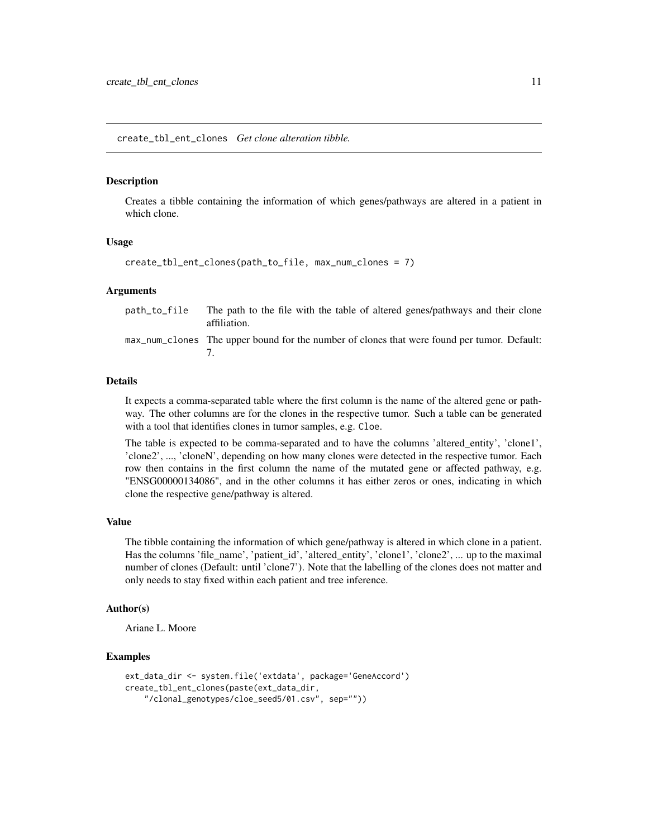<span id="page-10-1"></span><span id="page-10-0"></span>create\_tbl\_ent\_clones *Get clone alteration tibble.*

#### **Description**

Creates a tibble containing the information of which genes/pathways are altered in a patient in which clone.

#### Usage

```
create_tbl_ent_clones(path_to_file, max_num_clones = 7)
```
#### Arguments

| path_to_file The path to the file with the table of altered genes/pathways and their clone<br>affiliation. |
|------------------------------------------------------------------------------------------------------------|
| max_num_clones The upper bound for the number of clones that were found per tumor. Default:                |

#### Details

It expects a comma-separated table where the first column is the name of the altered gene or pathway. The other columns are for the clones in the respective tumor. Such a table can be generated with a tool that identifies clones in tumor samples, e.g. Cloe.

The table is expected to be comma-separated and to have the columns 'altered\_entity', 'clone1', 'clone2', ..., 'cloneN', depending on how many clones were detected in the respective tumor. Each row then contains in the first column the name of the mutated gene or affected pathway, e.g. "ENSG00000134086", and in the other columns it has either zeros or ones, indicating in which clone the respective gene/pathway is altered.

#### Value

The tibble containing the information of which gene/pathway is altered in which clone in a patient. Has the columns 'file\_name', 'patient\_id', 'altered\_entity', 'clone1', 'clone2', ... up to the maximal number of clones (Default: until 'clone7'). Note that the labelling of the clones does not matter and only needs to stay fixed within each patient and tree inference.

#### Author(s)

Ariane L. Moore

```
ext_data_dir <- system.file('extdata', package='GeneAccord')
create_tbl_ent_clones(paste(ext_data_dir,
    "/clonal_genotypes/cloe_seed5/01.csv", sep=""))
```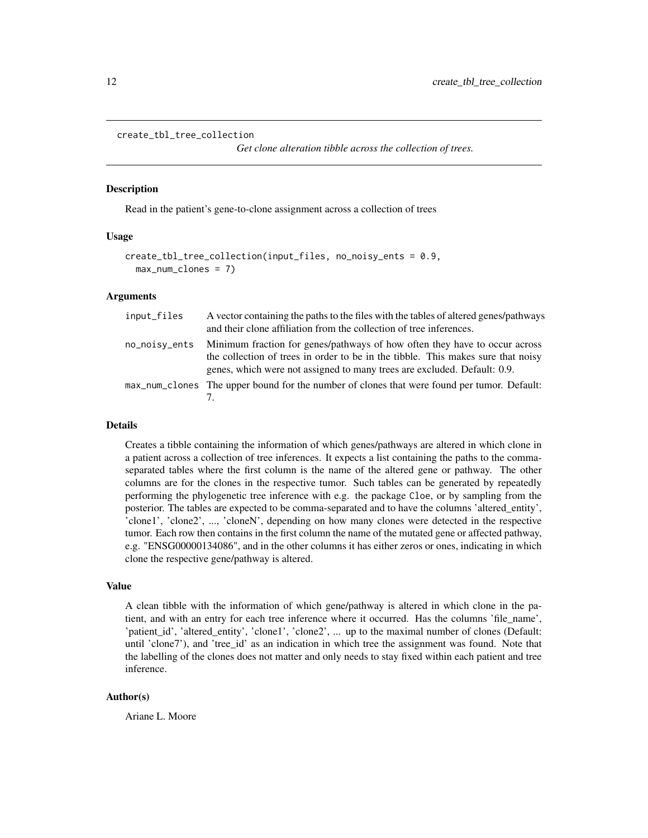```
create_tbl_tree_collection
```
*Get clone alteration tibble across the collection of trees.*

#### **Description**

Read in the patient's gene-to-clone assignment across a collection of trees

#### Usage

```
create_tbl_tree_collection(input_files, no_noisy_ents = 0.9,
 max_num_clones = 7)
```
## Arguments

| input_files   | A vector containing the paths to the files with the tables of altered genes/pathways<br>and their clone affiliation from the collection of tree inferences.                                                                                |  |  |  |  |
|---------------|--------------------------------------------------------------------------------------------------------------------------------------------------------------------------------------------------------------------------------------------|--|--|--|--|
| no_noisy_ents | Minimum fraction for genes/pathways of how often they have to occur across<br>the collection of trees in order to be in the tibble. This makes sure that noisy<br>genes, which were not assigned to many trees are excluded. Default: 0.9. |  |  |  |  |
|               | max_num_clones The upper bound for the number of clones that were found per tumor. Default:                                                                                                                                                |  |  |  |  |

# Details

Creates a tibble containing the information of which genes/pathways are altered in which clone in a patient across a collection of tree inferences. It expects a list containing the paths to the commaseparated tables where the first column is the name of the altered gene or pathway. The other columns are for the clones in the respective tumor. Such tables can be generated by repeatedly performing the phylogenetic tree inference with e.g. the package Cloe, or by sampling from the posterior. The tables are expected to be comma-separated and to have the columns 'altered\_entity', 'clone1', 'clone2', ..., 'cloneN', depending on how many clones were detected in the respective tumor. Each row then contains in the first column the name of the mutated gene or affected pathway, e.g. "ENSG00000134086", and in the other columns it has either zeros or ones, indicating in which clone the respective gene/pathway is altered.

#### Value

A clean tibble with the information of which gene/pathway is altered in which clone in the patient, and with an entry for each tree inference where it occurred. Has the columns 'file\_name', 'patient\_id', 'altered\_entity', 'clone1', 'clone2', ... up to the maximal number of clones (Default: until 'clone7'), and 'tree\_id' as an indication in which tree the assignment was found. Note that the labelling of the clones does not matter and only needs to stay fixed within each patient and tree inference.

#### Author(s)

Ariane L. Moore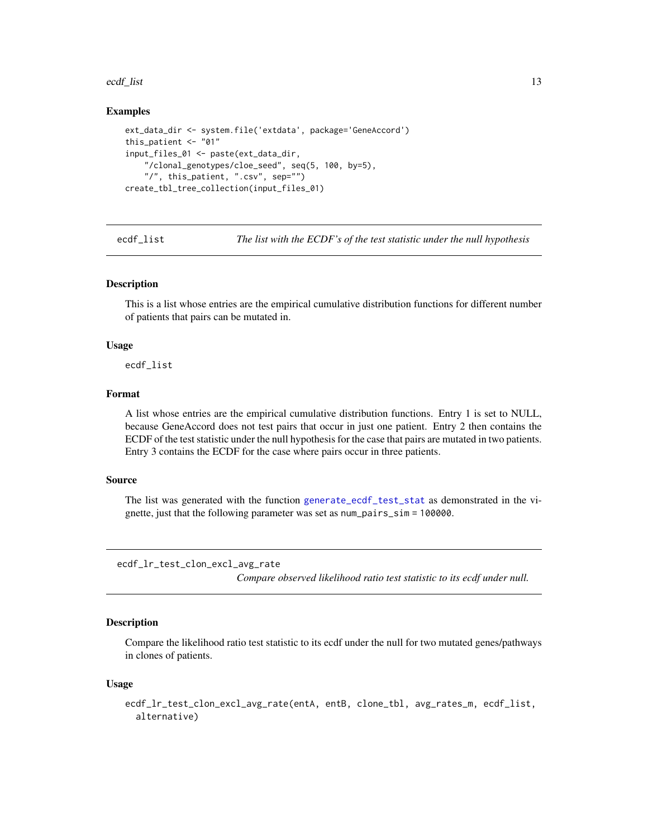#### <span id="page-12-0"></span>ecdf\_list 13

# Examples

```
ext_data_dir <- system.file('extdata', package='GeneAccord')
this_patient <- "01"
input_files_01 <- paste(ext_data_dir,
    "/clonal_genotypes/cloe_seed", seq(5, 100, by=5),
    "/", this_patient, ".csv", sep="")
create_tbl_tree_collection(input_files_01)
```
ecdf\_list *The list with the ECDF's of the test statistic under the null hypothesis*

# Description

This is a list whose entries are the empirical cumulative distribution functions for different number of patients that pairs can be mutated in.

#### Usage

ecdf\_list

#### Format

A list whose entries are the empirical cumulative distribution functions. Entry 1 is set to NULL, because GeneAccord does not test pairs that occur in just one patient. Entry 2 then contains the ECDF of the test statistic under the null hypothesis for the case that pairs are mutated in two patients. Entry 3 contains the ECDF for the case where pairs occur in three patients.

## Source

The list was generated with the function [generate\\_ecdf\\_test\\_stat](#page-21-1) as demonstrated in the vignette, just that the following parameter was set as num\_pairs\_sim = 100000.

ecdf\_lr\_test\_clon\_excl\_avg\_rate

*Compare observed likelihood ratio test statistic to its ecdf under null.*

### Description

Compare the likelihood ratio test statistic to its ecdf under the null for two mutated genes/pathways in clones of patients.

#### Usage

```
ecdf_lr_test_clon_excl_avg_rate(entA, entB, clone_tbl, avg_rates_m, ecdf_list,
  alternative)
```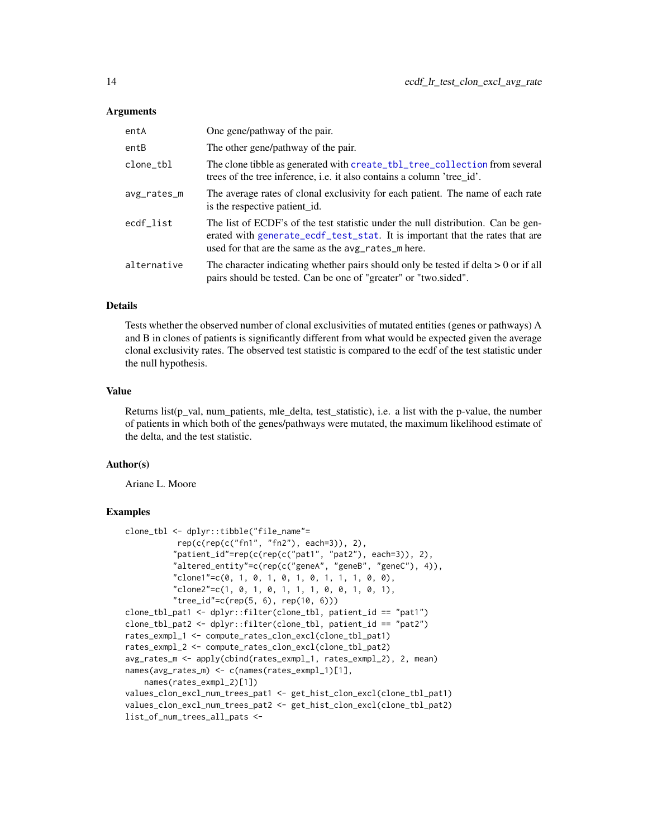#### <span id="page-13-0"></span>Arguments

| entA        | One gene/pathway of the pair.                                                                                                                                                                                            |
|-------------|--------------------------------------------------------------------------------------------------------------------------------------------------------------------------------------------------------------------------|
| entB        | The other gene/pathway of the pair.                                                                                                                                                                                      |
| clone_tbl   | The clone tibble as generated with create_tbl_tree_collection from several<br>trees of the tree inference, i.e. it also contains a column 'tree_id'.                                                                     |
| avg_rates_m | The average rates of clonal exclusivity for each patient. The name of each rate<br>is the respective patient id.                                                                                                         |
| ecdf_list   | The list of ECDF's of the test statistic under the null distribution. Can be gen-<br>erated with generate_ecdf_test_stat. It is important that the rates that are<br>used for that are the same as the avg_rates_m here. |
| alternative | The character indicating whether pairs should only be tested if delta $> 0$ or if all<br>pairs should be tested. Can be one of "greater" or "two.sided".                                                                 |

# **Details**

Tests whether the observed number of clonal exclusivities of mutated entities (genes or pathways) A and B in clones of patients is significantly different from what would be expected given the average clonal exclusivity rates. The observed test statistic is compared to the ecdf of the test statistic under the null hypothesis.

#### Value

Returns list(p\_val, num\_patients, mle\_delta, test\_statistic), i.e. a list with the p-value, the number of patients in which both of the genes/pathways were mutated, the maximum likelihood estimate of the delta, and the test statistic.

# Author(s)

Ariane L. Moore

```
clone_tbl <- dplyr::tibble("file_name"=
          rep(c(rep(c("fn1", "fn2"), each=3)), 2),
          "patient_id"=rep(c(rep(c("pat1", "pat2"), each=3)), 2),
          "altered_entity"=c(rep(c("geneA", "geneB", "geneC"), 4)),
          "clone1" = c(0, 1, 0, 1, 0, 1, 0, 1, 1, 0, 0),"clone2" = c(1, 0, 1, 0, 1, 1, 1, 0, 0, 1, 0, 1),"tree_id" = c(rep(5, 6), rep(10, 6)))clone_tbl_pat1 <- dplyr::filter(clone_tbl, patient_id == "pat1")
clone_tbl_pat2 <- dplyr::filter(clone_tbl, patient_id == "pat2")
rates_exmpl_1 <- compute_rates_clon_excl(clone_tbl_pat1)
rates_exmpl_2 <- compute_rates_clon_excl(clone_tbl_pat2)
avg_rates_m <- apply(cbind(rates_exmpl_1, rates_exmpl_2), 2, mean)
names(avg_rates_m) <- c(names(rates_exmpl_1)[1],
   names(rates_exmpl_2)[1])
values_clon_excl_num_trees_pat1 <- get_hist_clon_excl(clone_tbl_pat1)
values_clon_excl_num_trees_pat2 <- get_hist_clon_excl(clone_tbl_pat2)
list_of_num_trees_all_pats <-
```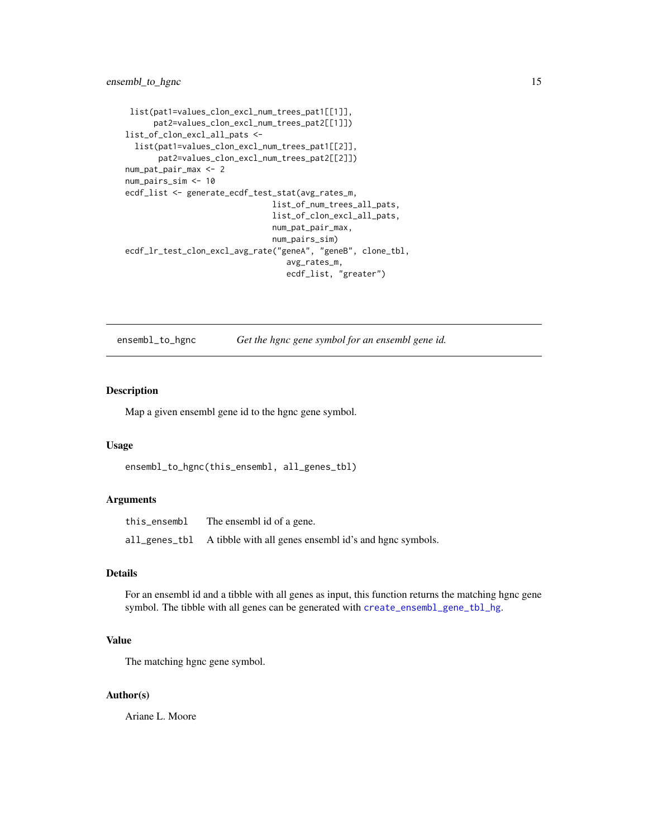# <span id="page-14-0"></span>ensembl\_to\_hgnc 15

```
list(pat1=values_clon_excl_num_trees_pat1[[1]],
      pat2=values_clon_excl_num_trees_pat2[[1]])
list_of_clon_excl_all_pats <-
  list(pat1=values_clon_excl_num_trees_pat1[[2]],
       pat2=values_clon_excl_num_trees_pat2[[2]])
num_pat_pair_max <- 2
num_pairs_sim <- 10
ecdf_list <- generate_ecdf_test_stat(avg_rates_m,
                               list_of_num_trees_all_pats,
                               list_of_clon_excl_all_pats,
                               num_pat_pair_max,
                               num_pairs_sim)
ecdf_lr_test_clon_excl_avg_rate("geneA", "geneB", clone_tbl,
                                  avg_rates_m,
                                  ecdf_list, "greater")
```
ensembl\_to\_hgnc *Get the hgnc gene symbol for an ensembl gene id.*

# Description

Map a given ensembl gene id to the hgnc gene symbol.

#### Usage

```
ensembl_to_hgnc(this_ensembl, all_genes_tbl)
```
# Arguments

| this_ensembl | The ensembl id of a gene.                                                |
|--------------|--------------------------------------------------------------------------|
|              | $all\_genes\_tbl$ A tibble with all genes ensembl id's and hgnc symbols. |

# Details

For an ensembl id and a tibble with all genes as input, this function returns the matching hgnc gene symbol. The tibble with all genes can be generated with [create\\_ensembl\\_gene\\_tbl\\_hg](#page-9-1).

# Value

The matching hgnc gene symbol.

#### Author(s)

Ariane L. Moore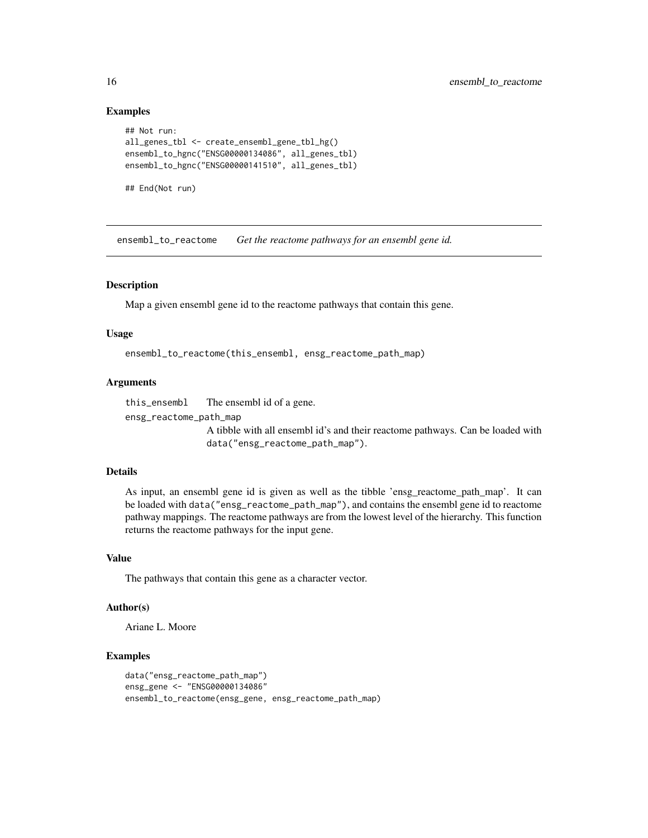```
## Not run:
all_genes_tbl <- create_ensembl_gene_tbl_hg()
ensembl_to_hgnc("ENSG00000134086", all_genes_tbl)
ensembl_to_hgnc("ENSG00000141510", all_genes_tbl)
```

```
## End(Not run)
```
ensembl\_to\_reactome *Get the reactome pathways for an ensembl gene id.*

# Description

Map a given ensembl gene id to the reactome pathways that contain this gene.

#### Usage

```
ensembl_to_reactome(this_ensembl, ensg_reactome_path_map)
```
#### Arguments

this\_ensembl The ensembl id of a gene.

ensg\_reactome\_path\_map

A tibble with all ensembl id's and their reactome pathways. Can be loaded with data("ensg\_reactome\_path\_map").

#### Details

As input, an ensembl gene id is given as well as the tibble 'ensg\_reactome\_path\_map'. It can be loaded with data("ensg\_reactome\_path\_map"), and contains the ensembl gene id to reactome pathway mappings. The reactome pathways are from the lowest level of the hierarchy. This function returns the reactome pathways for the input gene.

# Value

The pathways that contain this gene as a character vector.

#### Author(s)

Ariane L. Moore

```
data("ensg_reactome_path_map")
ensg_gene <- "ENSG00000134086"
ensembl_to_reactome(ensg_gene, ensg_reactome_path_map)
```
<span id="page-15-0"></span>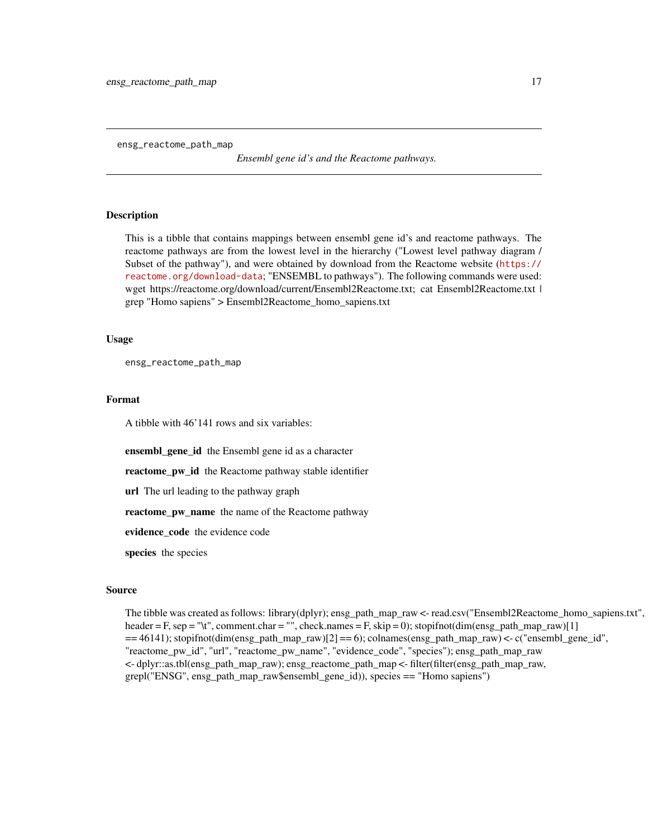<span id="page-16-0"></span>ensg\_reactome\_path\_map

*Ensembl gene id's and the Reactome pathways.*

# Description

This is a tibble that contains mappings between ensembl gene id's and reactome pathways. The reactome pathways are from the lowest level in the hierarchy ("Lowest level pathway diagram / Subset of the pathway"), and were obtained by download from the Reactome website ([https://](https://reactome.org/download-data) [reactome.org/download-data](https://reactome.org/download-data); "ENSEMBL to pathways"). The following commands were used: wget https://reactome.org/download/current/Ensembl2Reactome.txt; cat Ensembl2Reactome.txt | grep "Homo sapiens" > Ensembl2Reactome\_homo\_sapiens.txt

#### Usage

ensg\_reactome\_path\_map

#### Format

A tibble with 46'141 rows and six variables:

ensembl\_gene\_id the Ensembl gene id as a character

reactome\_pw\_id the Reactome pathway stable identifier

url The url leading to the pathway graph

reactome\_pw\_name the name of the Reactome pathway

evidence\_code the evidence code

species the species

#### Source

The tibble was created as follows: library(dplyr); ensg\_path\_map\_raw <- read.csv("Ensembl2Reactome\_homo\_sapiens.txt", header = F, sep = "\t", comment.char = "", check.names = F, skip = 0); stopifnot(dim(ensg\_path\_map\_raw)[1]  $=$  =46141); stopifnot(dim(ensg\_path\_map\_raw)[2]  $=$  6); colnames(ensg\_path\_map\_raw) <- c("ensembl\_gene\_id", "reactome\_pw\_id", "url", "reactome\_pw\_name", "evidence\_code", "species"); ensg\_path\_map\_raw <- dplyr::as.tbl(ensg\_path\_map\_raw); ensg\_reactome\_path\_map <- filter(filter(ensg\_path\_map\_raw, grepl("ENSG", ensg\_path\_map\_raw\$ensembl\_gene\_id)), species == "Homo sapiens")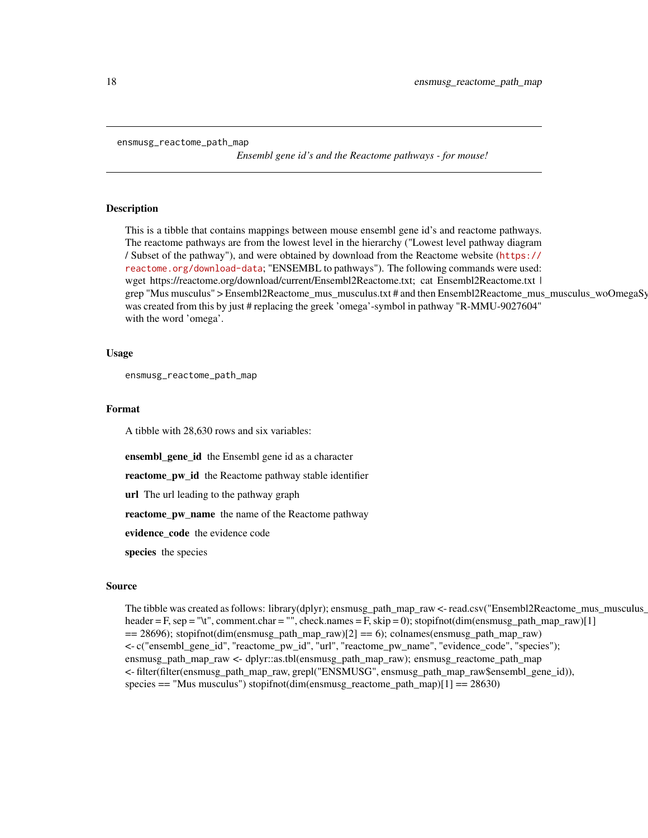```
ensmusg_reactome_path_map
```
*Ensembl gene id's and the Reactome pathways - for mouse!*

# Description

This is a tibble that contains mappings between mouse ensembl gene id's and reactome pathways. The reactome pathways are from the lowest level in the hierarchy ("Lowest level pathway diagram / Subset of the pathway"), and were obtained by download from the Reactome website ([https://](https://reactome.org/download-data) [reactome.org/download-data](https://reactome.org/download-data); "ENSEMBL to pathways"). The following commands were used: wget https://reactome.org/download/current/Ensembl2Reactome.txt; cat Ensembl2Reactome.txt | grep "Mus musculus" > Ensembl2Reactome\_mus\_musculus.txt # and then Ensembl2Reactome\_mus\_musculus\_woOmegaSy was created from this by just # replacing the greek 'omega'-symbol in pathway "R-MMU-9027604" with the word 'omega'.

#### Usage

ensmusg\_reactome\_path\_map

# Format

A tibble with 28,630 rows and six variables:

ensembl\_gene\_id the Ensembl gene id as a character

reactome\_pw\_id the Reactome pathway stable identifier

url The url leading to the pathway graph

reactome\_pw\_name the name of the Reactome pathway

evidence\_code the evidence code

species the species

#### Source

The tibble was created as follows: library(dplyr); ensmusg\_path\_map\_raw <- read.csv("Ensembl2Reactome\_mus\_musculus\_ header = F, sep = "\t", comment.char = "", check.names = F, skip = 0); stopifnot(dim(ensmusg\_path\_map\_raw)[1]  $== 28696$ ; stopifnot(dim(ensmusg\_path\_map\_raw)[2]  $== 6$ ; colnames(ensmusg\_path\_map\_raw) <- c("ensembl\_gene\_id", "reactome\_pw\_id", "url", "reactome\_pw\_name", "evidence\_code", "species"); ensmusg\_path\_map\_raw <- dplyr::as.tbl(ensmusg\_path\_map\_raw); ensmusg\_reactome\_path\_map <- filter(filter(ensmusg\_path\_map\_raw, grepl("ENSMUSG", ensmusg\_path\_map\_raw\$ensembl\_gene\_id)), species == "Mus musculus") stopifnot(dim(ensmusg\_reactome\_path\_map)[1] == 28630)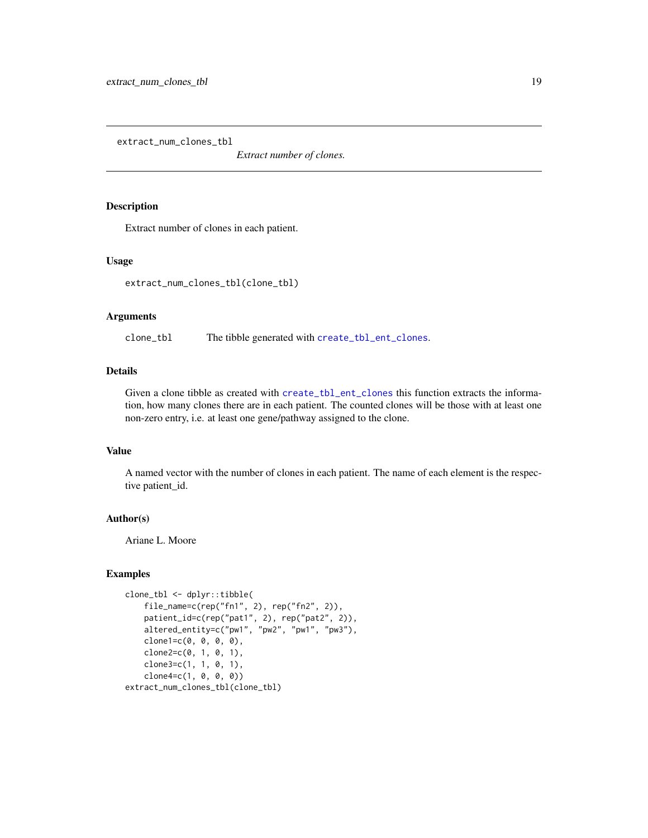<span id="page-18-0"></span>extract\_num\_clones\_tbl

*Extract number of clones.*

#### Description

Extract number of clones in each patient.

#### Usage

extract\_num\_clones\_tbl(clone\_tbl)

#### Arguments

clone\_tbl The tibble generated with [create\\_tbl\\_ent\\_clones](#page-10-1).

# Details

Given a clone tibble as created with [create\\_tbl\\_ent\\_clones](#page-10-1) this function extracts the information, how many clones there are in each patient. The counted clones will be those with at least one non-zero entry, i.e. at least one gene/pathway assigned to the clone.

# Value

A named vector with the number of clones in each patient. The name of each element is the respective patient\_id.

## Author(s)

Ariane L. Moore

```
clone_tbl <- dplyr::tibble(
   file_name=c(rep("fn1", 2), rep("fn2", 2)),
   patient_id=c(rep("pat1", 2), rep("pat2", 2)),
   altered_entity=c("pw1", "pw2", "pw1", "pw3"),
   clone1=c(0, 0, 0, 0),
   clone2=c(0, 1, 0, 1),clone3=c(1, 1, 0, 1),clone4=c(1, 0, 0, 0))
extract_num_clones_tbl(clone_tbl)
```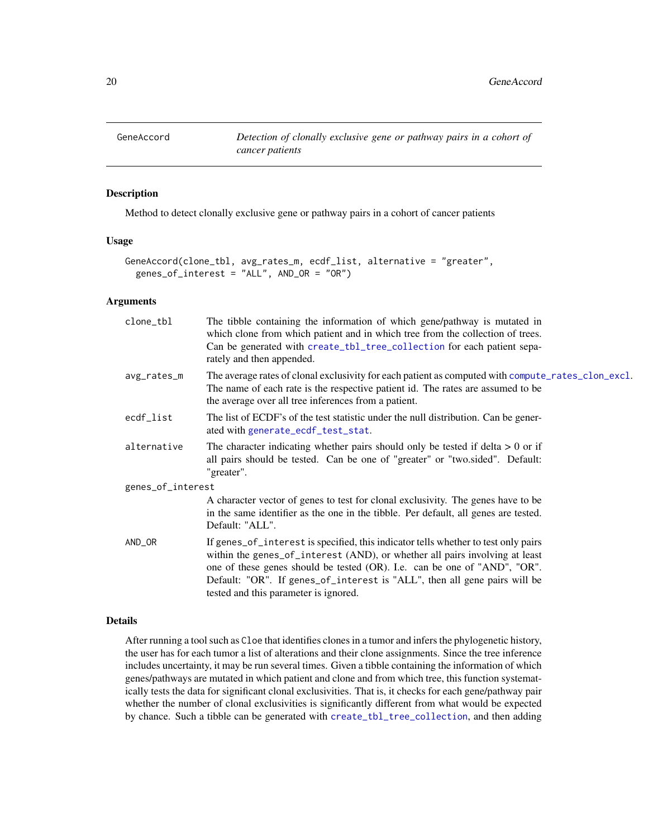<span id="page-19-1"></span><span id="page-19-0"></span>

# Description

Method to detect clonally exclusive gene or pathway pairs in a cohort of cancer patients

#### Usage

```
GeneAccord(clone_tbl, avg_rates_m, ecdf_list, alternative = "greater",
 genes_of_interest = "ALL", AND_OR = "OR")
```
### Arguments

| clone_tbl         | The tibble containing the information of which gene/pathway is mutated in<br>which clone from which patient and in which tree from the collection of trees.<br>Can be generated with create_tbl_tree_collection for each patient sepa-<br>rately and then appended.                                                                                                  |
|-------------------|----------------------------------------------------------------------------------------------------------------------------------------------------------------------------------------------------------------------------------------------------------------------------------------------------------------------------------------------------------------------|
| avg_rates_m       | The average rates of clonal exclusivity for each patient as computed with compute_rates_clon_excl.<br>The name of each rate is the respective patient id. The rates are assumed to be<br>the average over all tree inferences from a patient.                                                                                                                        |
| ecdf_list         | The list of ECDF's of the test statistic under the null distribution. Can be gener-<br>ated with generate_ecdf_test_stat.                                                                                                                                                                                                                                            |
| alternative       | The character indicating whether pairs should only be tested if delta $> 0$ or if<br>all pairs should be tested. Can be one of "greater" or "two.sided". Default:<br>"greater".                                                                                                                                                                                      |
| genes_of_interest |                                                                                                                                                                                                                                                                                                                                                                      |
|                   | A character vector of genes to test for clonal exclusivity. The genes have to be<br>in the same identifier as the one in the tibble. Per default, all genes are tested.<br>Default: "ALL".                                                                                                                                                                           |
| AND_OR            | If genes_of_interest is specified, this indicator tells whether to test only pairs<br>within the genes_of_interest (AND), or whether all pairs involving at least<br>one of these genes should be tested (OR). I.e. can be one of "AND", "OR".<br>Default: "OR". If genes_of_interest is "ALL", then all gene pairs will be<br>tested and this parameter is ignored. |

#### Details

After running a tool such as Cloe that identifies clones in a tumor and infers the phylogenetic history, the user has for each tumor a list of alterations and their clone assignments. Since the tree inference includes uncertainty, it may be run several times. Given a tibble containing the information of which genes/pathways are mutated in which patient and clone and from which tree, this function systematically tests the data for significant clonal exclusivities. That is, it checks for each gene/pathway pair whether the number of clonal exclusivities is significantly different from what would be expected by chance. Such a tibble can be generated with [create\\_tbl\\_tree\\_collection](#page-11-1), and then adding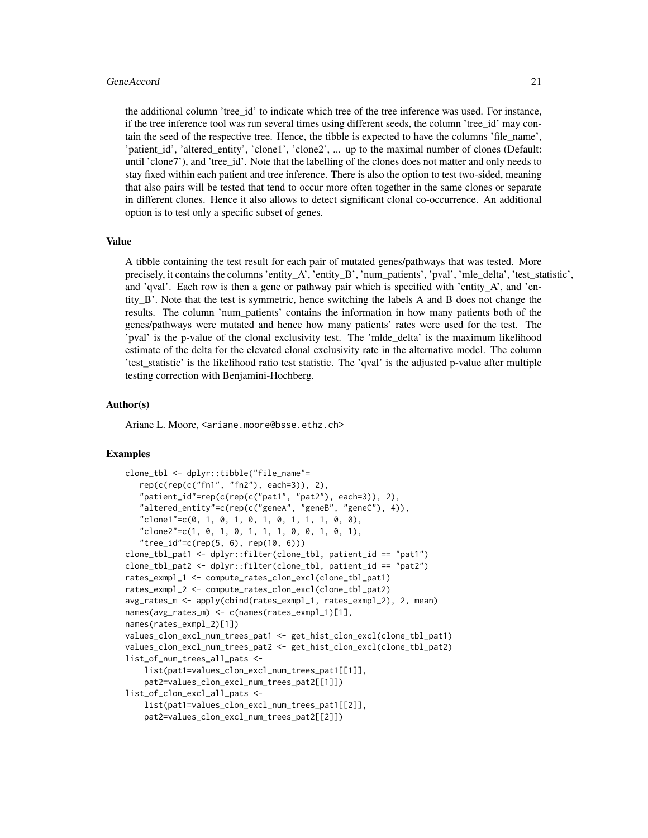#### GeneAccord 21

the additional column 'tree\_id' to indicate which tree of the tree inference was used. For instance, if the tree inference tool was run several times using different seeds, the column 'tree id' may contain the seed of the respective tree. Hence, the tibble is expected to have the columns 'file\_name', 'patient\_id', 'altered\_entity', 'clone1', 'clone2', ... up to the maximal number of clones (Default: until 'clone7'), and 'tree id'. Note that the labelling of the clones does not matter and only needs to stay fixed within each patient and tree inference. There is also the option to test two-sided, meaning that also pairs will be tested that tend to occur more often together in the same clones or separate in different clones. Hence it also allows to detect significant clonal co-occurrence. An additional option is to test only a specific subset of genes.

#### Value

A tibble containing the test result for each pair of mutated genes/pathways that was tested. More precisely, it contains the columns 'entity\_A', 'entity\_B', 'num\_patients', 'pval', 'mle\_delta', 'test\_statistic', and 'qval'. Each row is then a gene or pathway pair which is specified with 'entity  $A'$ , and 'entity\_B'. Note that the test is symmetric, hence switching the labels A and B does not change the results. The column 'num\_patients' contains the information in how many patients both of the genes/pathways were mutated and hence how many patients' rates were used for the test. The 'pval' is the p-value of the clonal exclusivity test. The 'mlde\_delta' is the maximum likelihood estimate of the delta for the elevated clonal exclusivity rate in the alternative model. The column 'test\_statistic' is the likelihood ratio test statistic. The 'qval' is the adjusted p-value after multiple testing correction with Benjamini-Hochberg.

#### Author(s)

Ariane L. Moore, <ariane.moore@bsse.ethz.ch>

```
clone_tbl <- dplyr::tibble("file_name"=
   rep(c(rep(c("fn1", "fn2"), each=3)), 2),
   "patient_id"=rep(c(rep(c("pat1", "pat2"), each=3)), 2),
   "altered_entity"=c(rep(c("geneA", "geneB", "geneC"), 4)),
   "clone1"=c(0, 1, 0, 1, 0, 1, 0, 1, 1, 1, 0, 0),
   "clone2"=c(1, 0, 1, 0, 1, 1, 1, 0, 0, 1, 0, 1),
   "tree_id"=c(rep(5, 6), rep(10, 6)))
clone_tbl_pat1 <- dplyr::filter(clone_tbl, patient_id == "pat1")
clone_tbl_pat2 <- dplyr::filter(clone_tbl, patient_id == "pat2")
rates_exmpl_1 <- compute_rates_clon_excl(clone_tbl_pat1)
rates_exmpl_2 <- compute_rates_clon_excl(clone_tbl_pat2)
avg_rates_m <- apply(cbind(rates_exmpl_1, rates_exmpl_2), 2, mean)
names(avg_rates_m) <- c(names(rates_exmpl_1)[1],
names(rates_exmpl_2)[1])
values_clon_excl_num_trees_pat1 <- get_hist_clon_excl(clone_tbl_pat1)
values_clon_excl_num_trees_pat2 <- get_hist_clon_excl(clone_tbl_pat2)
list_of_num_trees_all_pats <-
    list(pat1=values_clon_excl_num_trees_pat1[[1]],
   pat2=values_clon_excl_num_trees_pat2[[1]])
list_of_clon_excl_all_pats <-
   list(pat1=values_clon_excl_num_trees_pat1[[2]],
    pat2=values_clon_excl_num_trees_pat2[[2]])
```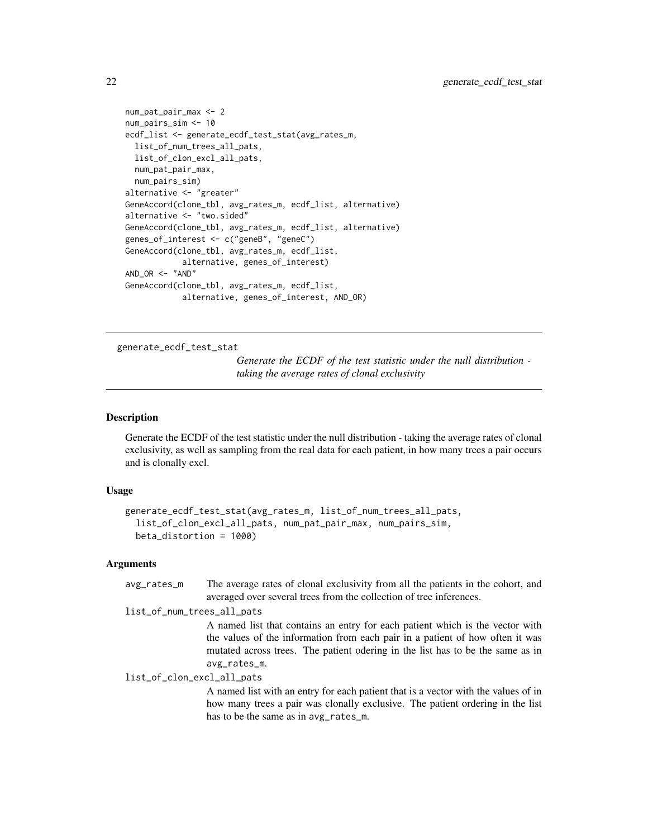```
num_pat_pair_max <- 2
num_pairs_sim <- 10
ecdf_list <- generate_ecdf_test_stat(avg_rates_m,
 list_of_num_trees_all_pats,
 list_of_clon_excl_all_pats,
 num_pat_pair_max,
 num_pairs_sim)
alternative <- "greater"
GeneAccord(clone_tbl, avg_rates_m, ecdf_list, alternative)
alternative <- "two.sided"
GeneAccord(clone_tbl, avg_rates_m, ecdf_list, alternative)
genes_of_interest <- c("geneB", "geneC")
GeneAccord(clone_tbl, avg_rates_m, ecdf_list,
            alternative, genes_of_interest)
AND\_OR < - "AND"
GeneAccord(clone_tbl, avg_rates_m, ecdf_list,
            alternative, genes_of_interest, AND_OR)
```
<span id="page-21-1"></span>generate\_ecdf\_test\_stat

*Generate the ECDF of the test statistic under the null distribution taking the average rates of clonal exclusivity*

# Description

Generate the ECDF of the test statistic under the null distribution - taking the average rates of clonal exclusivity, as well as sampling from the real data for each patient, in how many trees a pair occurs and is clonally excl.

### Usage

```
generate_ecdf_test_stat(avg_rates_m, list_of_num_trees_all_pats,
  list_of_clon_excl_all_pats, num_pat_pair_max, num_pairs_sim,
 beta_distortion = 1000)
```
#### Arguments

avg\_rates\_m The average rates of clonal exclusivity from all the patients in the cohort, and averaged over several trees from the collection of tree inferences.

```
list_of_num_trees_all_pats
```
A named list that contains an entry for each patient which is the vector with the values of the information from each pair in a patient of how often it was mutated across trees. The patient odering in the list has to be the same as in avg\_rates\_m.

list\_of\_clon\_excl\_all\_pats

A named list with an entry for each patient that is a vector with the values of in how many trees a pair was clonally exclusive. The patient ordering in the list has to be the same as in avg\_rates\_m.

<span id="page-21-0"></span>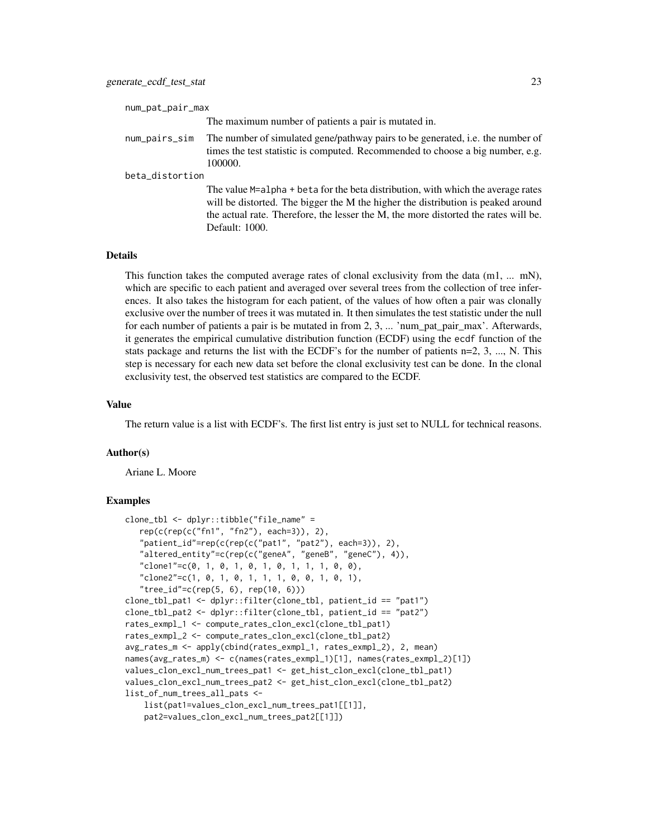| num_pat_pair_max |                                                                                                                                                                                                                                                                               |  |  |  |
|------------------|-------------------------------------------------------------------------------------------------------------------------------------------------------------------------------------------------------------------------------------------------------------------------------|--|--|--|
|                  | The maximum number of patients a pair is mutated in.                                                                                                                                                                                                                          |  |  |  |
| num_pairs_sim    | The number of simulated gene/pathway pairs to be generated, i.e. the number of<br>times the test statistic is computed. Recommended to choose a big number, e.g.<br>100000.                                                                                                   |  |  |  |
| beta_distortion  |                                                                                                                                                                                                                                                                               |  |  |  |
|                  | The value M=alpha + beta for the beta distribution, with which the average rates<br>will be distorted. The bigger the M the higher the distribution is peaked around<br>the actual rate. Therefore, the lesser the M, the more distorted the rates will be.<br>Default: 1000. |  |  |  |

#### **Details**

This function takes the computed average rates of clonal exclusivity from the data  $(m1, ... mN)$ , which are specific to each patient and averaged over several trees from the collection of tree inferences. It also takes the histogram for each patient, of the values of how often a pair was clonally exclusive over the number of trees it was mutated in. It then simulates the test statistic under the null for each number of patients a pair is be mutated in from 2, 3, ... 'num\_pat\_pair\_max'. Afterwards, it generates the empirical cumulative distribution function (ECDF) using the ecdf function of the stats package and returns the list with the ECDF's for the number of patients  $n=2, 3, ..., N$ . This step is necessary for each new data set before the clonal exclusivity test can be done. In the clonal exclusivity test, the observed test statistics are compared to the ECDF.

#### Value

The return value is a list with ECDF's. The first list entry is just set to NULL for technical reasons.

### Author(s)

Ariane L. Moore

```
clone_tbl <- dplyr::tibble("file_name" =
   rep(c(rep(c("fn1", "fn2"), each=3)), 2),
   "patient_id"=rep(c(rep(c("pat1", "pat2"), each=3)), 2),
   "altered_entity"=c(rep(c("geneA", "geneB", "geneC"), 4)),
   "clone1" = c(0, 1, 0, 1, 0, 1, 0, 1, 1, 1, 0, 0),"clone2" = c(1, 0, 1, 0, 1, 1, 1, 0, 0, 1, 0, 1),"tree_id" = c(rep(5, 6), rep(10, 6)))clone_tbl_pat1 <- dplyr::filter(clone_tbl, patient_id == "pat1")
clone_tbl_pat2 <- dplyr::filter(clone_tbl, patient_id == "pat2")
rates_exmpl_1 <- compute_rates_clon_excl(clone_tbl_pat1)
rates_exmpl_2 <- compute_rates_clon_excl(clone_tbl_pat2)
avg_rates_m <- apply(cbind(rates_exmpl_1, rates_exmpl_2), 2, mean)
names(avg_rates_m) <- c(names(rates_exmpl_1)[1], names(rates_exmpl_2)[1])
values_clon_excl_num_trees_pat1 <- get_hist_clon_excl(clone_tbl_pat1)
values_clon_excl_num_trees_pat2 <- get_hist_clon_excl(clone_tbl_pat2)
list_of_num_trees_all_pats <-
    list(pat1=values_clon_excl_num_trees_pat1[[1]],
    pat2=values_clon_excl_num_trees_pat2[[1]])
```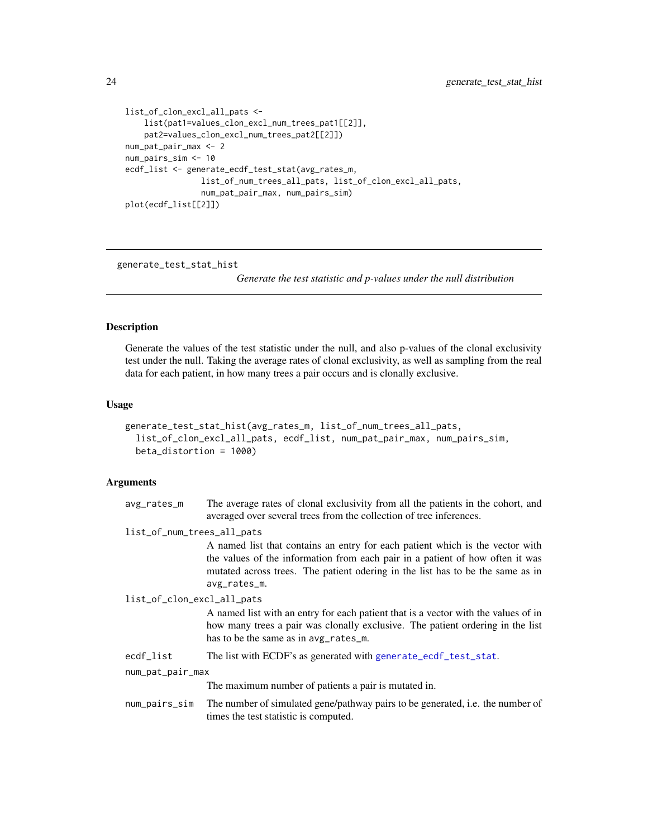```
list_of_clon_excl_all_pats <-
    list(pat1=values_clon_excl_num_trees_pat1[[2]],
    pat2=values_clon_excl_num_trees_pat2[[2]])
num_pat_pair_max <- 2
num_pairs_sim <- 10
ecdf_list <- generate_ecdf_test_stat(avg_rates_m,
                list_of_num_trees_all_pats, list_of_clon_excl_all_pats,
                num_pat_pair_max, num_pairs_sim)
plot(ecdf_list[[2]])
```
<span id="page-23-1"></span>generate\_test\_stat\_hist

*Generate the test statistic and p-values under the null distribution*

#### **Description**

Generate the values of the test statistic under the null, and also p-values of the clonal exclusivity test under the null. Taking the average rates of clonal exclusivity, as well as sampling from the real data for each patient, in how many trees a pair occurs and is clonally exclusive.

#### Usage

```
generate_test_stat_hist(avg_rates_m, list_of_num_trees_all_pats,
  list_of_clon_excl_all_pats, ecdf_list, num_pat_pair_max, num_pairs_sim,
 beta_distortion = 1000)
```
#### Arguments

avg\_rates\_m The average rates of clonal exclusivity from all the patients in the cohort, and averaged over several trees from the collection of tree inferences.

list\_of\_num\_trees\_all\_pats

A named list that contains an entry for each patient which is the vector with the values of the information from each pair in a patient of how often it was mutated across trees. The patient odering in the list has to be the same as in avg\_rates\_m.

list\_of\_clon\_excl\_all\_pats

A named list with an entry for each patient that is a vector with the values of in how many trees a pair was clonally exclusive. The patient ordering in the list has to be the same as in avg\_rates\_m.

ecdf\_list The list with ECDF's as generated with [generate\\_ecdf\\_test\\_stat](#page-21-1).

num\_pat\_pair\_max

The maximum number of patients a pair is mutated in.

```
num_pairs_sim The number of simulated gene/pathway pairs to be generated, i.e. the number of
                  times the test statistic is computed.
```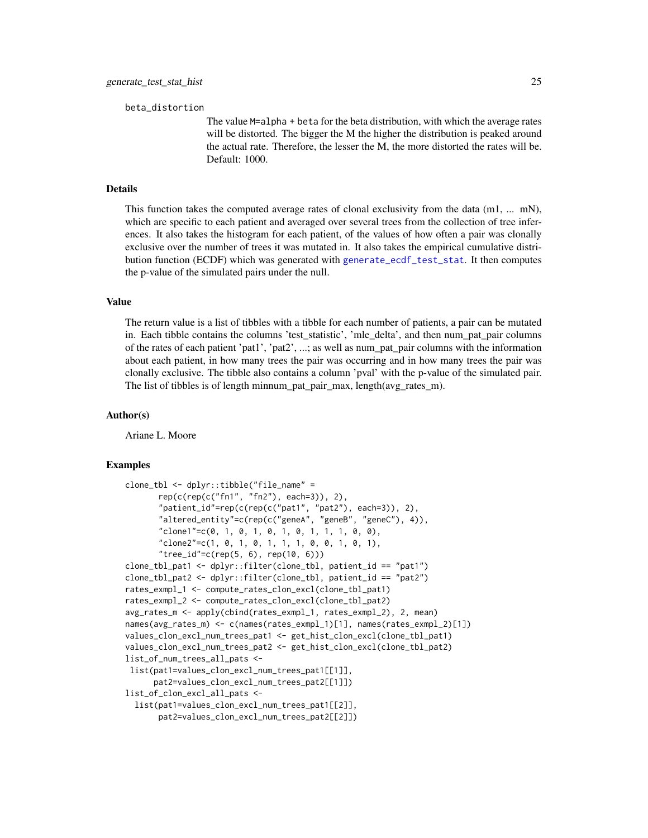<span id="page-24-0"></span>beta\_distortion

The value M=alpha + beta for the beta distribution, with which the average rates will be distorted. The bigger the M the higher the distribution is peaked around the actual rate. Therefore, the lesser the M, the more distorted the rates will be. Default: 1000.

# Details

This function takes the computed average rates of clonal exclusivity from the data  $(m1, ... mN)$ , which are specific to each patient and averaged over several trees from the collection of tree inferences. It also takes the histogram for each patient, of the values of how often a pair was clonally exclusive over the number of trees it was mutated in. It also takes the empirical cumulative distribution function (ECDF) which was generated with [generate\\_ecdf\\_test\\_stat](#page-21-1). It then computes the p-value of the simulated pairs under the null.

# Value

The return value is a list of tibbles with a tibble for each number of patients, a pair can be mutated in. Each tibble contains the columns 'test\_statistic', 'mle\_delta', and then num\_pat\_pair columns of the rates of each patient 'pat1', 'pat2', ...; as well as num\_pat\_pair columns with the information about each patient, in how many trees the pair was occurring and in how many trees the pair was clonally exclusive. The tibble also contains a column 'pval' with the p-value of the simulated pair. The list of tibbles is of length minnum pat pair max, length(avg rates m).

#### Author(s)

Ariane L. Moore

```
clone_tbl <- dplyr::tibble("file_name" =
      rep(c(rep(c("fn1", "fn2"), each=3)), 2),
       "patient_id"=rep(c(rep(c("pat1", "pat2"), each=3)), 2),
       "altered_entity"=c(rep(c("geneA", "geneB", "geneC"), 4)),
       "clone1"=c(0, 1, 0, 1, 0, 1, 0, 1, 1, 1, 0, 0),
       "clone2"=c(1, 0, 1, 0, 1, 1, 1, 0, 0, 1, 0, 1),
       "tree_id"=c(rep(5, 6), rep(10, 6)))
clone_tbl_pat1 <- dplyr::filter(clone_tbl, patient_id == "pat1")
clone_tbl_pat2 <- dplyr::filter(clone_tbl, patient_id == "pat2")
rates_exmpl_1 <- compute_rates_clon_excl(clone_tbl_pat1)
rates_exmpl_2 <- compute_rates_clon_excl(clone_tbl_pat2)
avg_rates_m <- apply(cbind(rates_exmpl_1, rates_exmpl_2), 2, mean)
names(avg_rates_m) <- c(names(rates_exmpl_1)[1], names(rates_exmpl_2)[1])
values_clon_excl_num_trees_pat1 <- get_hist_clon_excl(clone_tbl_pat1)
values_clon_excl_num_trees_pat2 <- get_hist_clon_excl(clone_tbl_pat2)
list_of_num_trees_all_pats <-
list(pat1=values_clon_excl_num_trees_pat1[[1]],
     pat2=values_clon_excl_num_trees_pat2[[1]])
list_of_clon_excl_all_pats <-
 list(pat1=values_clon_excl_num_trees_pat1[[2]],
      pat2=values_clon_excl_num_trees_pat2[[2]])
```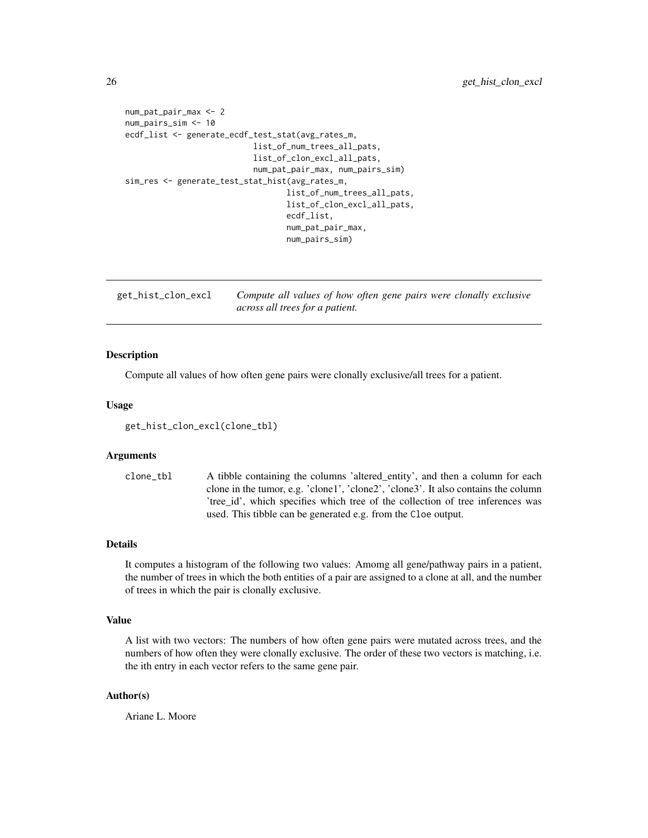```
num_pat_pair_max <- 2
num_pairs_sim <- 10
ecdf_list <- generate_ecdf_test_stat(avg_rates_m,
                           list_of_num_trees_all_pats,
                           list_of_clon_excl_all_pats,
                           num_pat_pair_max, num_pairs_sim)
sim_res <- generate_test_stat_hist(avg_rates_m,
                                  list_of_num_trees_all_pats,
                                  list_of_clon_excl_all_pats,
                                  ecdf_list,
                                  num_pat_pair_max,
                                  num_pairs_sim)
```
<span id="page-25-1"></span>

| get_hist_clon_excl | Compute all values of how often gene pairs were clonally exclusive |  |  |  |
|--------------------|--------------------------------------------------------------------|--|--|--|
|                    | across all trees for a patient.                                    |  |  |  |

#### Description

Compute all values of how often gene pairs were clonally exclusive/all trees for a patient.

#### Usage

get\_hist\_clon\_excl(clone\_tbl)

#### Arguments

clone\_tbl A tibble containing the columns 'altered\_entity', and then a column for each clone in the tumor, e.g. 'clone1', 'clone2', 'clone3'. It also contains the column 'tree id', which specifies which tree of the collection of tree inferences was used. This tibble can be generated e.g. from the Cloe output.

### Details

It computes a histogram of the following two values: Amomg all gene/pathway pairs in a patient, the number of trees in which the both entities of a pair are assigned to a clone at all, and the number of trees in which the pair is clonally exclusive.

#### Value

A list with two vectors: The numbers of how often gene pairs were mutated across trees, and the numbers of how often they were clonally exclusive. The order of these two vectors is matching, i.e. the ith entry in each vector refers to the same gene pair.

# Author(s)

Ariane L. Moore

<span id="page-25-0"></span>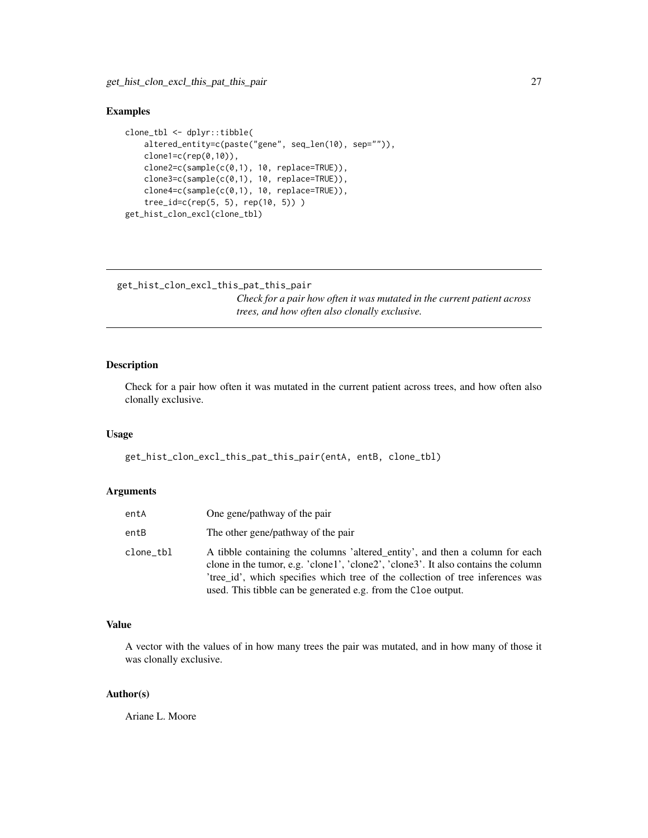```
clone_tbl <- dplyr::tibble(
    altered_entity=c(paste("gene", seq_len(10), sep="")),
   clone1=c(rep(0,10)),
    clone2=c(sample(c(0,1), 10, replace=TRUE)),
    clone3=c(sample(c(0,1), 10, replace=TRUE)),
    clone4=c(sample(c(0,1), 10, replace=TRUE)),
    tree_id=c(rep(5, 5), rep(10, 5)) )
get_hist_clon_excl(clone_tbl)
```

```
get_hist_clon_excl_this_pat_this_pair
```
*Check for a pair how often it was mutated in the current patient across trees, and how often also clonally exclusive.*

# Description

Check for a pair how often it was mutated in the current patient across trees, and how often also clonally exclusive.

#### Usage

get\_hist\_clon\_excl\_this\_pat\_this\_pair(entA, entB, clone\_tbl)

#### **Arguments**

| entA      | One gene/pathway of the pair                                                                                                                                                                                                                                                                                          |
|-----------|-----------------------------------------------------------------------------------------------------------------------------------------------------------------------------------------------------------------------------------------------------------------------------------------------------------------------|
| entB      | The other gene/pathway of the pair                                                                                                                                                                                                                                                                                    |
| clone_tbl | A tibble containing the columns 'altered entity', and then a column for each<br>clone in the tumor, e.g. 'clone1', 'clone2', 'clone3'. It also contains the column<br>'tree_id', which specifies which tree of the collection of tree inferences was<br>used. This tibble can be generated e.g. from the Cloe output. |

# Value

A vector with the values of in how many trees the pair was mutated, and in how many of those it was clonally exclusive.

# Author(s)

Ariane L. Moore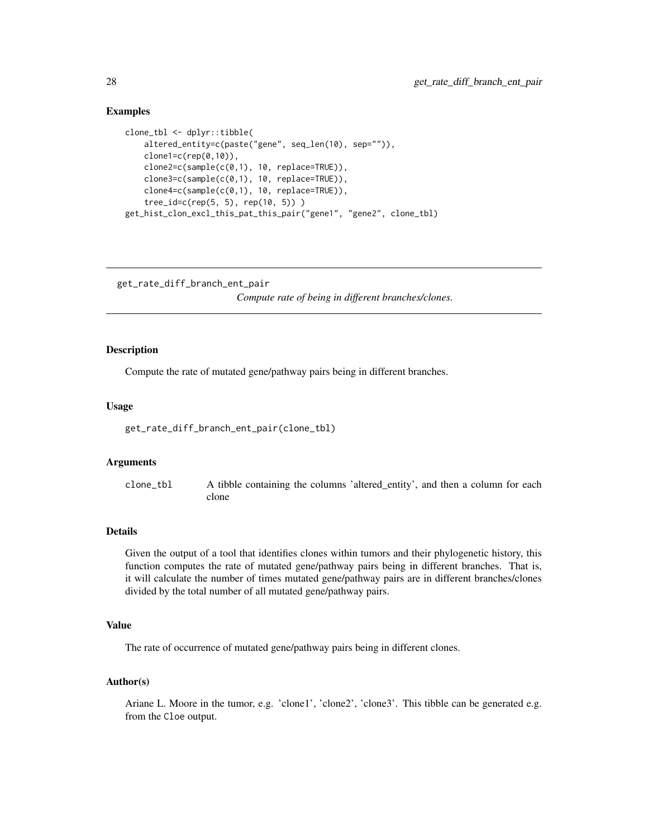```
clone_tbl <- dplyr::tibble(
   altered_entity=c(paste("gene", seq_len(10), sep="")),
   clone1=c(rep(0,10)),
    clone2=c(sample(c(0,1), 10, replace=TRUE)),
    clone3=c(sample(c(0,1), 10, replace=TRUE)),
    clone4=c(sample(c(0,1), 10, replace=TRUE)),
    tree_id=c(rep(5, 5), rep(10, 5)) )
get_hist_clon_excl_this_pat_this_pair("gene1", "gene2", clone_tbl)
```

```
get_rate_diff_branch_ent_pair
```
*Compute rate of being in different branches/clones.*

# Description

Compute the rate of mutated gene/pathway pairs being in different branches.

#### Usage

get\_rate\_diff\_branch\_ent\_pair(clone\_tbl)

#### Arguments

clone\_tbl A tibble containing the columns 'altered\_entity', and then a column for each clone

# Details

Given the output of a tool that identifies clones within tumors and their phylogenetic history, this function computes the rate of mutated gene/pathway pairs being in different branches. That is, it will calculate the number of times mutated gene/pathway pairs are in different branches/clones divided by the total number of all mutated gene/pathway pairs.

#### Value

The rate of occurrence of mutated gene/pathway pairs being in different clones.

#### Author(s)

Ariane L. Moore in the tumor, e.g. 'clone1', 'clone2', 'clone3'. This tibble can be generated e.g. from the Cloe output.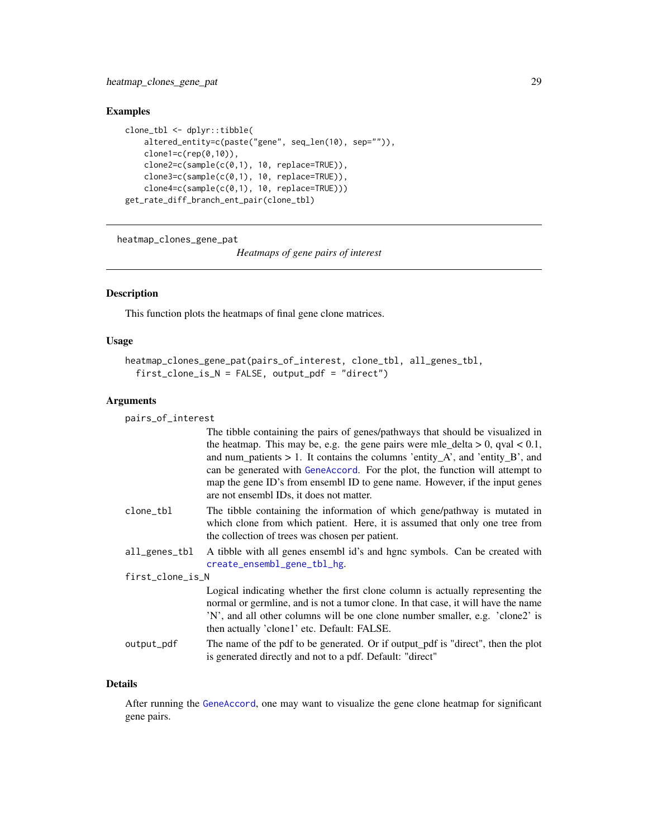```
clone_tbl <- dplyr::tibble(
    altered_entity=c(paste("gene", seq_len(10), sep="")),
    clone1=c(rep(\theta,1\theta)),
    clone2=c(sample(c(0,1), 10, replace=TRUE)),
    clone3=c(sample(c(0,1), 10, replace=TRUE)),
    clone4=c(sample(c(0,1), 10, replace=TRUE)))
get_rate_diff_branch_ent_pair(clone_tbl)
```
heatmap\_clones\_gene\_pat

*Heatmaps of gene pairs of interest*

#### Description

This function plots the heatmaps of final gene clone matrices.

#### Usage

```
heatmap_clones_gene_pat(pairs_of_interest, clone_tbl, all_genes_tbl,
  first_clone_is_N = FALSE, output_pdf = "direct")
```
# Arguments

pairs\_of\_interest

|                  | The tibble containing the pairs of genes/pathways that should be visualized in                                                                                                                                                                                                                      |
|------------------|-----------------------------------------------------------------------------------------------------------------------------------------------------------------------------------------------------------------------------------------------------------------------------------------------------|
|                  | the heatmap. This may be, e.g. the gene pairs were mle_delta > 0, qval < $0.1$ ,                                                                                                                                                                                                                    |
|                  | and num_patients > 1. It contains the columns 'entity_A', and 'entity_B', and                                                                                                                                                                                                                       |
|                  | can be generated with GeneAccord. For the plot, the function will attempt to                                                                                                                                                                                                                        |
|                  | map the gene ID's from ensembl ID to gene name. However, if the input genes<br>are not ensembl IDs, it does not matter.                                                                                                                                                                             |
| clone_tbl        | The tibble containing the information of which gene/pathway is mutated in<br>which clone from which patient. Here, it is assumed that only one tree from<br>the collection of trees was chosen per patient.                                                                                         |
| all_genes_tbl    | A tibble with all genes ensembl id's and hgnc symbols. Can be created with<br>create_ensembl_gene_tbl_hg.                                                                                                                                                                                           |
| first_clone_is_N |                                                                                                                                                                                                                                                                                                     |
|                  | Logical indicating whether the first clone column is actually representing the<br>normal or germline, and is not a tumor clone. In that case, it will have the name<br>'N', and all other columns will be one clone number smaller, e.g. 'clone2' is<br>then actually 'clone1' etc. Default: FALSE. |
| output_pdf       | The name of the pdf to be generated. Or if output_pdf is "direct", then the plot<br>is generated directly and not to a pdf. Default: "direct"                                                                                                                                                       |

#### Details

After running the [GeneAccord](#page-19-1), one may want to visualize the gene clone heatmap for significant gene pairs.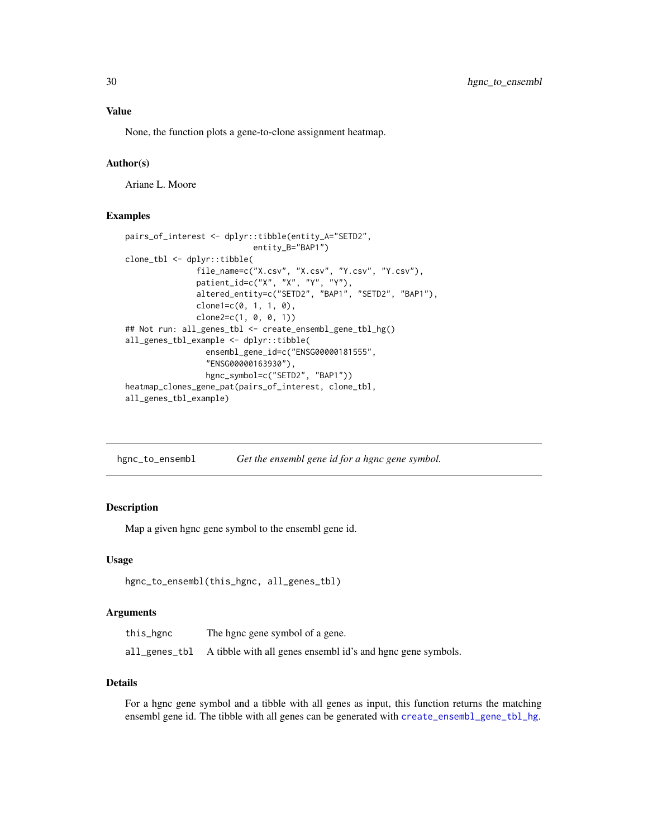<span id="page-29-0"></span>None, the function plots a gene-to-clone assignment heatmap.

# Author(s)

Ariane L. Moore

# Examples

```
pairs_of_interest <- dplyr::tibble(entity_A="SETD2",
                           entity_B="BAP1")
clone_tbl <- dplyr::tibble(
              file_name=c("X.csv", "X.csv", "Y.csv", "Y.csv"),
              patient_id=c("X", "X", "Y", "Y"),
              altered_entity=c("SETD2", "BAP1", "SETD2", "BAP1"),
              clone1=c(0, 1, 1, 0),
               clone2=c(1, 0, 0, 1))
## Not run: all_genes_tbl <- create_ensembl_gene_tbl_hg()
all_genes_tbl_example <- dplyr::tibble(
                 ensembl_gene_id=c("ENSG00000181555",
                 "ENSG00000163930"),
                 hgnc_symbol=c("SETD2", "BAP1"))
heatmap_clones_gene_pat(pairs_of_interest, clone_tbl,
all_genes_tbl_example)
```

| hgnc_to_ensembl | Get the ensembl gene id for a hgnc gene symbol. |  |
|-----------------|-------------------------------------------------|--|
|-----------------|-------------------------------------------------|--|

#### Description

Map a given hgnc gene symbol to the ensembl gene id.

#### Usage

```
hgnc_to_ensembl(this_hgnc, all_genes_tbl)
```
#### Arguments

| this_hgnc     | The hgnc gene symbol of a gene.                             |
|---------------|-------------------------------------------------------------|
| all_genes_tbl | A tibble with all genes ensembl id's and hgnc gene symbols. |

# Details

For a hgnc gene symbol and a tibble with all genes as input, this function returns the matching ensembl gene id. The tibble with all genes can be generated with [create\\_ensembl\\_gene\\_tbl\\_hg](#page-9-1).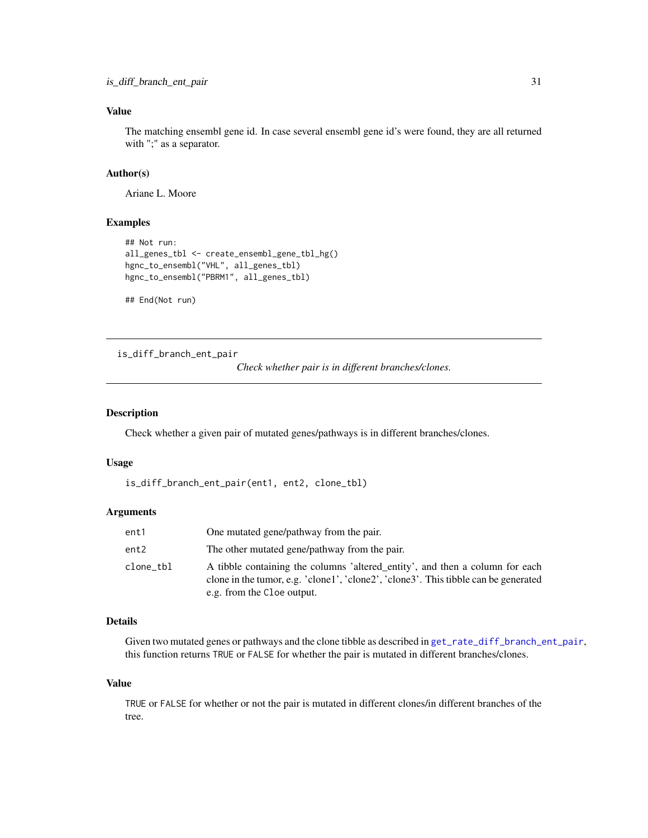# <span id="page-30-0"></span>Value

The matching ensembl gene id. In case several ensembl gene id's were found, they are all returned with ";" as a separator.

# Author(s)

Ariane L. Moore

# Examples

```
## Not run:
all_genes_tbl <- create_ensembl_gene_tbl_hg()
hgnc_to_ensembl("VHL", all_genes_tbl)
hgnc_to_ensembl("PBRM1", all_genes_tbl)
```
## End(Not run)

is\_diff\_branch\_ent\_pair

*Check whether pair is in different branches/clones.*

# Description

Check whether a given pair of mutated genes/pathways is in different branches/clones.

#### Usage

```
is_diff_branch_ent_pair(ent1, ent2, clone_tbl)
```
# Arguments

| ent1      | One mutated gene/pathway from the pair.                                                                                                                                                           |
|-----------|---------------------------------------------------------------------------------------------------------------------------------------------------------------------------------------------------|
| ent2      | The other mutated gene/pathway from the pair.                                                                                                                                                     |
| clone_tbl | A tibble containing the columns 'altered entity', and then a column for each<br>clone in the tumor, e.g. 'clone1', 'clone2', 'clone3'. This tibble can be generated<br>e.g. from the Cloe output. |

# Details

Given two mutated genes or pathways and the clone tibble as described in [get\\_rate\\_diff\\_branch\\_ent\\_pair](#page-27-1), this function returns TRUE or FALSE for whether the pair is mutated in different branches/clones.

#### Value

TRUE or FALSE for whether or not the pair is mutated in different clones/in different branches of the tree.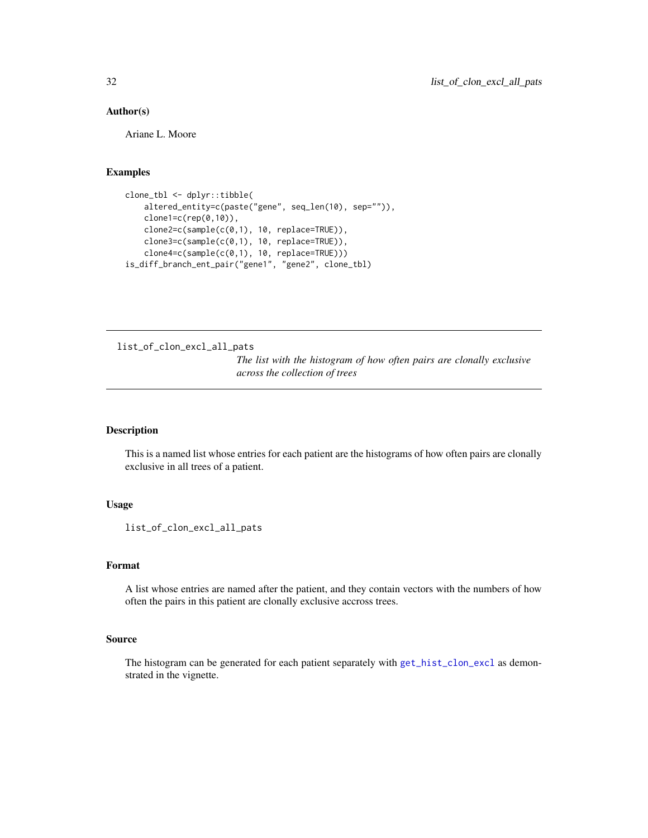### <span id="page-31-0"></span>Author(s)

Ariane L. Moore

#### Examples

```
clone_tbl <- dplyr::tibble(
   altered_entity=c(paste("gene", seq_len(10), sep="")),
   clone1=c(rep(0,10)),
   clone2=c(sample(c(0,1), 10, replace=TRUE)),
   clone3=c(sample(c(0,1), 10, replace=TRUE)),
    clone4=c(sample(c(0,1), 10, replace=TRUE)))
is_diff_branch_ent_pair("gene1", "gene2", clone_tbl)
```
list\_of\_clon\_excl\_all\_pats

*The list with the histogram of how often pairs are clonally exclusive across the collection of trees*

# Description

This is a named list whose entries for each patient are the histograms of how often pairs are clonally exclusive in all trees of a patient.

# Usage

list\_of\_clon\_excl\_all\_pats

# Format

A list whose entries are named after the patient, and they contain vectors with the numbers of how often the pairs in this patient are clonally exclusive accross trees.

#### Source

The histogram can be generated for each patient separately with [get\\_hist\\_clon\\_excl](#page-25-1) as demonstrated in the vignette.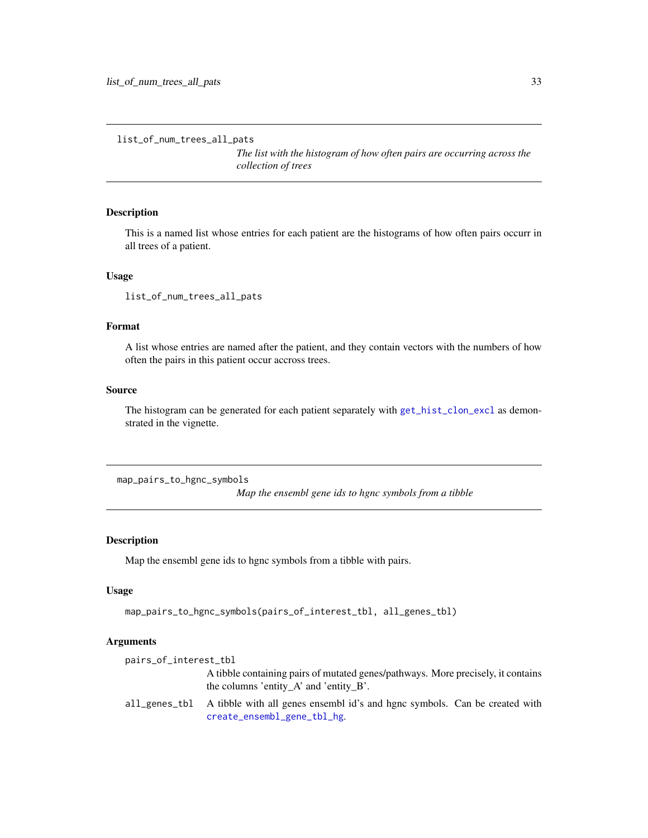```
list_of_num_trees_all_pats
```
*The list with the histogram of how often pairs are occurring across the collection of trees*

# Description

This is a named list whose entries for each patient are the histograms of how often pairs occurr in all trees of a patient.

### Usage

list\_of\_num\_trees\_all\_pats

# Format

A list whose entries are named after the patient, and they contain vectors with the numbers of how often the pairs in this patient occur accross trees.

# Source

The histogram can be generated for each patient separately with [get\\_hist\\_clon\\_excl](#page-25-1) as demonstrated in the vignette.

map\_pairs\_to\_hgnc\_symbols

*Map the ensembl gene ids to hgnc symbols from a tibble*

# Description

Map the ensembl gene ids to hgnc symbols from a tibble with pairs.

# Usage

```
map_pairs_to_hgnc_symbols(pairs_of_interest_tbl, all_genes_tbl)
```
#### Arguments

| pairs_of_interest_tbl |                                                                                                                               |
|-----------------------|-------------------------------------------------------------------------------------------------------------------------------|
|                       | A tibble containing pairs of mutated genes/pathways. More precisely, it contains<br>the columns 'entity A' and 'entity $B'$ . |
| all genes tbl         | A tibble with all genes ensembl id's and hgnc symbols. Can be created with<br>create_ensembl_gene_tbl_hg.                     |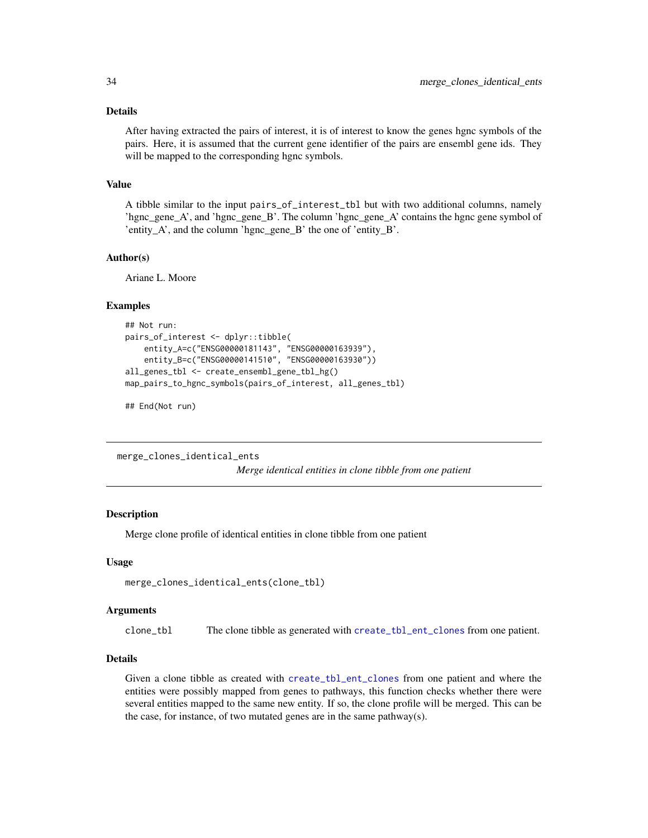#### <span id="page-33-0"></span>Details

After having extracted the pairs of interest, it is of interest to know the genes hgnc symbols of the pairs. Here, it is assumed that the current gene identifier of the pairs are ensembl gene ids. They will be mapped to the corresponding hgnc symbols.

#### Value

A tibble similar to the input pairs\_of\_interest\_tbl but with two additional columns, namely 'hgnc\_gene $A'$ , and 'hgnc\_gene  $B'$ . The column 'hgnc\_gene $A'$  contains the hgnc gene symbol of 'entity\_A', and the column 'hgnc\_gene\_B' the one of 'entity\_B'.

# Author(s)

Ariane L. Moore

#### Examples

```
## Not run:
pairs_of_interest <- dplyr::tibble(
    entity_A=c("ENSG00000181143", "ENSG00000163939"),
    entity_B=c("ENSG00000141510", "ENSG00000163930"))
all_genes_tbl <- create_ensembl_gene_tbl_hg()
map_pairs_to_hgnc_symbols(pairs_of_interest, all_genes_tbl)
```
## End(Not run)

merge\_clones\_identical\_ents

*Merge identical entities in clone tibble from one patient*

# Description

Merge clone profile of identical entities in clone tibble from one patient

#### Usage

```
merge_clones_identical_ents(clone_tbl)
```
## Arguments

clone\_tbl The clone tibble as generated with [create\\_tbl\\_ent\\_clones](#page-10-1) from one patient.

# Details

Given a clone tibble as created with [create\\_tbl\\_ent\\_clones](#page-10-1) from one patient and where the entities were possibly mapped from genes to pathways, this function checks whether there were several entities mapped to the same new entity. If so, the clone profile will be merged. This can be the case, for instance, of two mutated genes are in the same pathway(s).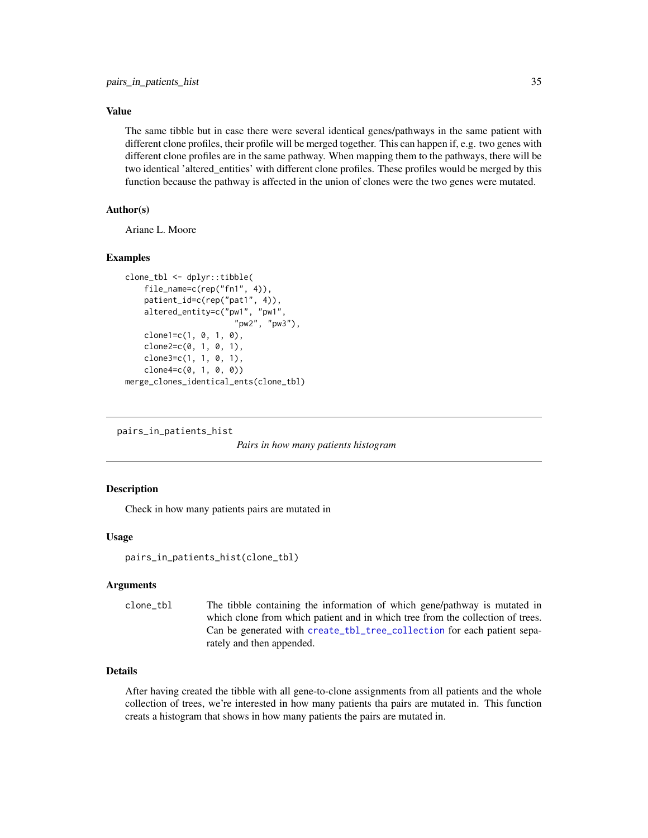# <span id="page-34-0"></span>Value

The same tibble but in case there were several identical genes/pathways in the same patient with different clone profiles, their profile will be merged together. This can happen if, e.g. two genes with different clone profiles are in the same pathway. When mapping them to the pathways, there will be two identical 'altered\_entities' with different clone profiles. These profiles would be merged by this function because the pathway is affected in the union of clones were the two genes were mutated.

# Author(s)

Ariane L. Moore

## Examples

```
clone_tbl <- dplyr::tibble(
    file_name=c(rep("fn1", 4)),
   patient_id=c(rep("pat1", 4)),
   altered_entity=c("pw1", "pw1",
                       "pw2", "pw3"),
    clone1 = c(1, 0, 1, 0),
    clone2=c(0, 1, 0, 1),
   clone3=c(1, 1, 0, 1),
    clone4=c(0, 1, 0, 0))merge_clones_identical_ents(clone_tbl)
```

```
pairs_in_patients_hist
```
*Pairs in how many patients histogram*

#### Description

Check in how many patients pairs are mutated in

#### Usage

```
pairs_in_patients_hist(clone_tbl)
```
#### Arguments

clone\_tbl The tibble containing the information of which gene/pathway is mutated in which clone from which patient and in which tree from the collection of trees. Can be generated with [create\\_tbl\\_tree\\_collection](#page-11-1) for each patient separately and then appended.

# Details

After having created the tibble with all gene-to-clone assignments from all patients and the whole collection of trees, we're interested in how many patients tha pairs are mutated in. This function creats a histogram that shows in how many patients the pairs are mutated in.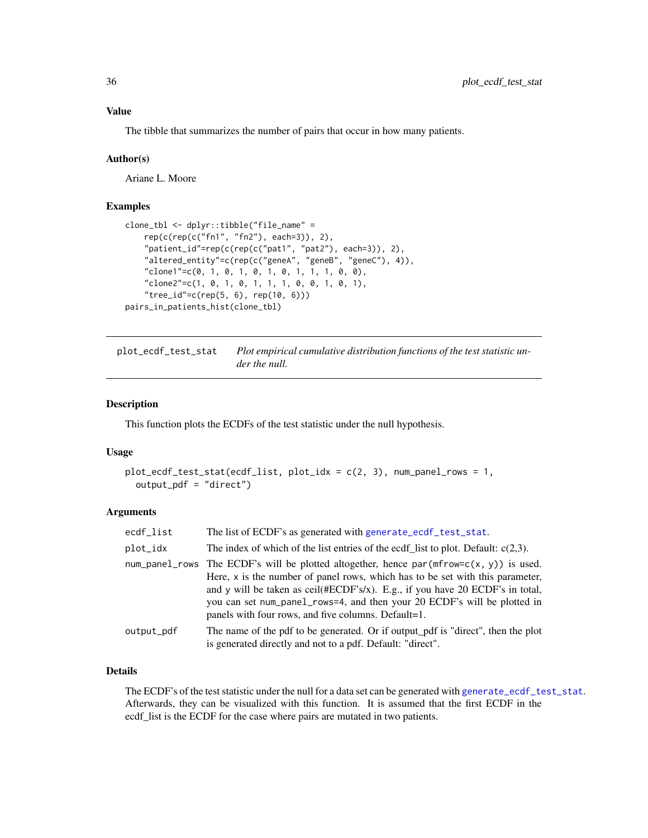<span id="page-35-0"></span>The tibble that summarizes the number of pairs that occur in how many patients.

#### Author(s)

Ariane L. Moore

# Examples

```
clone_tbl <- dplyr::tibble("file_name" =
   rep(c(rep(c("fn1", "fn2"), each=3)), 2),
    "patient_id"=rep(c(rep(c("pat1", "pat2"), each=3)), 2),
    "altered_entity"=c(rep(c("geneA", "geneB", "geneC"), 4)),
    "clone1"=c(0, 1, 0, 1, 0, 1, 0, 1, 1, 1, 0, 0),
    "clone2"=c(1, 0, 1, 0, 1, 1, 1, 0, 0, 1, 0, 1),
    "tree_id"=c(rep(5, 6), rep(10, 6)))
pairs_in_patients_hist(clone_tbl)
```
plot\_ecdf\_test\_stat *Plot empirical cumulative distribution functions of the test statistic under the null.*

#### Description

This function plots the ECDFs of the test statistic under the null hypothesis.

#### Usage

```
plot_ecdf_test_stat(ecdf_list, plot_idx = c(2, 3), num_panel_rows = 1,
 output_pdf = "direct")
```
# Arguments

| ecdf_list  | The list of ECDF's as generated with generate_ecdf_test_stat.                                                                                                                                                                                                                                                                                                                                    |
|------------|--------------------------------------------------------------------------------------------------------------------------------------------------------------------------------------------------------------------------------------------------------------------------------------------------------------------------------------------------------------------------------------------------|
| plot_idx   | The index of which of the list entries of the ecdf list to plot. Default: $c(2,3)$ .                                                                                                                                                                                                                                                                                                             |
|            | num_panel_rows The ECDF's will be plotted altogether, hence $par(mfrow=c(x, y))$ is used.<br>Here, $x$ is the number of panel rows, which has to be set with this parameter,<br>and y will be taken as ceil(#ECDF's/x). E.g., if you have 20 ECDF's in total,<br>you can set num_pane1_rows=4, and then your 20 ECDF's will be plotted in<br>panels with four rows, and five columns. Default=1. |
| output_pdf | The name of the pdf to be generated. Or if output_pdf is "direct", then the plot<br>is generated directly and not to a pdf. Default: "direct".                                                                                                                                                                                                                                                   |

# Details

The ECDF's of the test statistic under the null for a data set can be generated with [generate\\_ecdf\\_test\\_stat](#page-21-1). Afterwards, they can be visualized with this function. It is assumed that the first ECDF in the ecdf\_list is the ECDF for the case where pairs are mutated in two patients.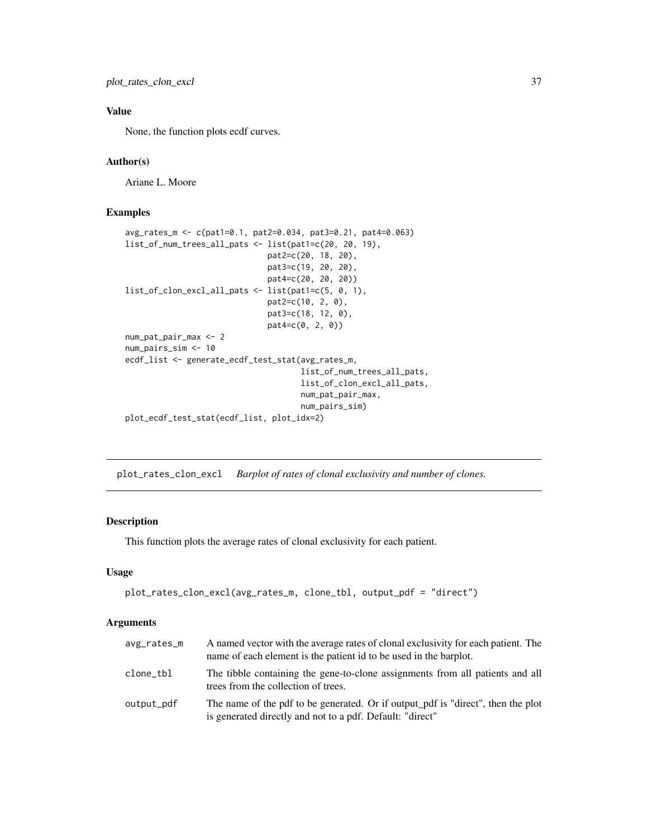<span id="page-36-0"></span>plot\_rates\_clon\_excl 37

# Value

None, the function plots ecdf curves.

# Author(s)

Ariane L. Moore

# Examples

```
avg_rates_m <- c(pat1=0.1, pat2=0.034, pat3=0.21, pat4=0.063)
list_of_num_trees_all_pats <- list(pat1=c(20, 20, 19),
                              pat2=c(20, 18, 20),
                              pat3=c(19, 20, 20),
                              pat4=c(20, 20, 20))
list_of_clon_excl_all_pats <- list(pat1=c(5, 0, 1),
                              pat2=c(10, 2, 0),
                              pat3=c(18, 12, 0),
                              pat4=c(0, 2, 0))
num_pat_pair_max <- 2
num_pairs_sim <- 10
ecdf_list <- generate_ecdf_test_stat(avg_rates_m,
                                     list_of_num_trees_all_pats,
                                     list_of_clon_excl_all_pats,
                                     num_pat_pair_max,
                                     num_pairs_sim)
plot_ecdf_test_stat(ecdf_list, plot_idx=2)
```
plot\_rates\_clon\_excl *Barplot of rates of clonal exclusivity and number of clones.*

# Description

This function plots the average rates of clonal exclusivity for each patient.

## Usage

```
plot_rates_clon_excl(avg_rates_m, clone_tbl, output_pdf = "direct")
```
# Arguments

| avg_rates_m | A named vector with the average rates of clonal exclusivity for each patient. The<br>name of each element is the patient id to be used in the barplot. |
|-------------|--------------------------------------------------------------------------------------------------------------------------------------------------------|
| clone_tbl   | The tibble containing the gene-to-clone assignments from all patients and all<br>trees from the collection of trees.                                   |
| output_pdf  | The name of the pdf to be generated. Or if output pdf is "direct", then the plot<br>is generated directly and not to a pdf. Default: "direct"          |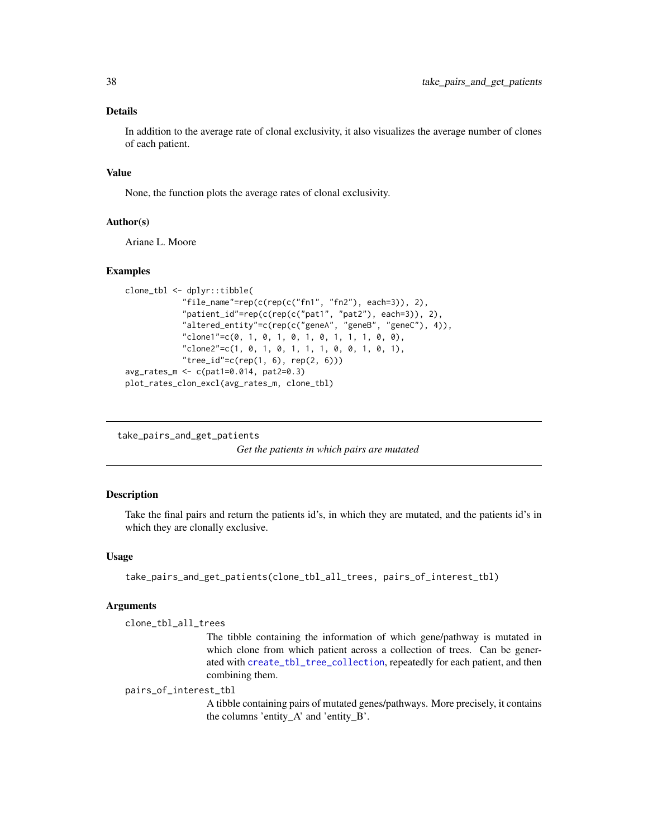# <span id="page-37-0"></span>Details

In addition to the average rate of clonal exclusivity, it also visualizes the average number of clones of each patient.

#### Value

None, the function plots the average rates of clonal exclusivity.

# Author(s)

Ariane L. Moore

#### Examples

```
clone_tbl <- dplyr::tibble(
            "file_name"=rep(c(rep(c("fn1", "fn2"), each=3)), 2),
            "patient_id"=rep(c(rep(c("pat1", "pat2"), each=3)), 2),
            "altered_entity"=c(rep(c("geneA", "geneB", "geneC"), 4)),
            "clone1"=c(0, 1, 0, 1, 0, 1, 0, 1, 1, 1, 0, 0),
            "clone2"=c(1, 0, 1, 0, 1, 1, 1, 0, 0, 1, 0, 1),
            "tree_id" = c(rep(1, 6), rep(2, 6)))avg_rates_m <- c(pat1=0.014, pat2=0.3)
plot_rates_clon_excl(avg_rates_m, clone_tbl)
```
take\_pairs\_and\_get\_patients

*Get the patients in which pairs are mutated*

# Description

Take the final pairs and return the patients id's, in which they are mutated, and the patients id's in which they are clonally exclusive.

### Usage

```
take_pairs_and_get_patients(clone_tbl_all_trees, pairs_of_interest_tbl)
```
#### Arguments

clone\_tbl\_all\_trees

The tibble containing the information of which gene/pathway is mutated in which clone from which patient across a collection of trees. Can be generated with [create\\_tbl\\_tree\\_collection](#page-11-1), repeatedly for each patient, and then combining them.

pairs\_of\_interest\_tbl

A tibble containing pairs of mutated genes/pathways. More precisely, it contains the columns 'entity\_A' and 'entity\_B'.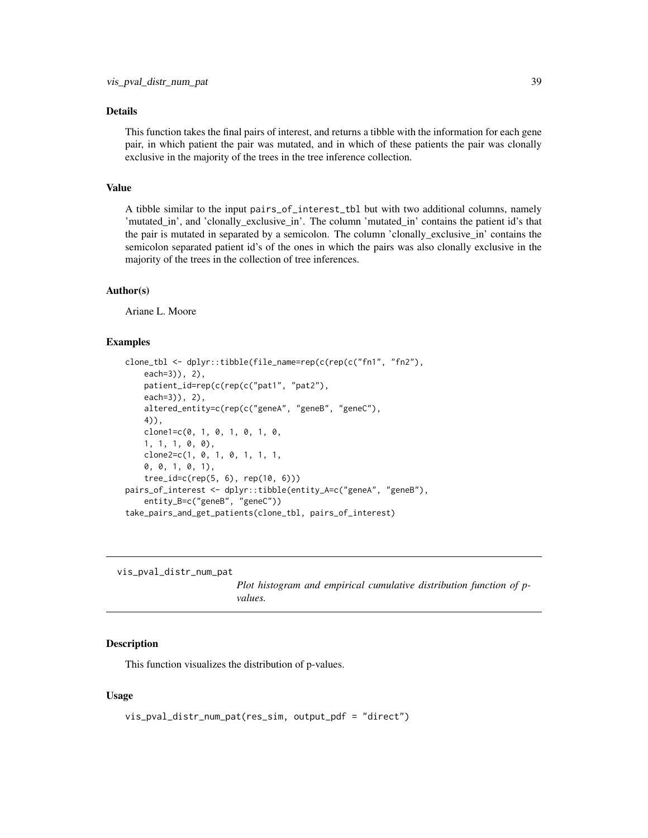# <span id="page-38-0"></span>Details

This function takes the final pairs of interest, and returns a tibble with the information for each gene pair, in which patient the pair was mutated, and in which of these patients the pair was clonally exclusive in the majority of the trees in the tree inference collection.

# Value

A tibble similar to the input pairs\_of\_interest\_tbl but with two additional columns, namely 'mutated\_in', and 'clonally\_exclusive\_in'. The column 'mutated\_in' contains the patient id's that the pair is mutated in separated by a semicolon. The column 'clonally\_exclusive\_in' contains the semicolon separated patient id's of the ones in which the pairs was also clonally exclusive in the majority of the trees in the collection of tree inferences.

#### Author(s)

Ariane L. Moore

#### Examples

```
clone_tbl <- dplyr::tibble(file_name=rep(c(rep(c("fn1", "fn2"),
    each=3)), 2),
   patient_id=rep(c(rep(c("pat1", "pat2"),
    each=3)), 2),
    altered_entity=c(rep(c("geneA", "geneB", "geneC"),
   4)),
    clone1=c(0, 1, 0, 1, 0, 1, 0,
    1, 1, 1, 0, 0),
    clone2=c(1, 0, 1, 0, 1, 1, 1,
    0, 0, 1, 0, 1),
    tree_id=c(rep(5, 6), rep(10, 6)))
pairs_of_interest <- dplyr::tibble(entity_A=c("geneA", "geneB"),
    entity_B=c("geneB", "geneC"))
take_pairs_and_get_patients(clone_tbl, pairs_of_interest)
```
vis\_pval\_distr\_num\_pat

*Plot histogram and empirical cumulative distribution function of pvalues.*

#### Description

This function visualizes the distribution of p-values.

#### Usage

```
vis_pval_distr_num_pat(res_sim, output_pdf = "direct")
```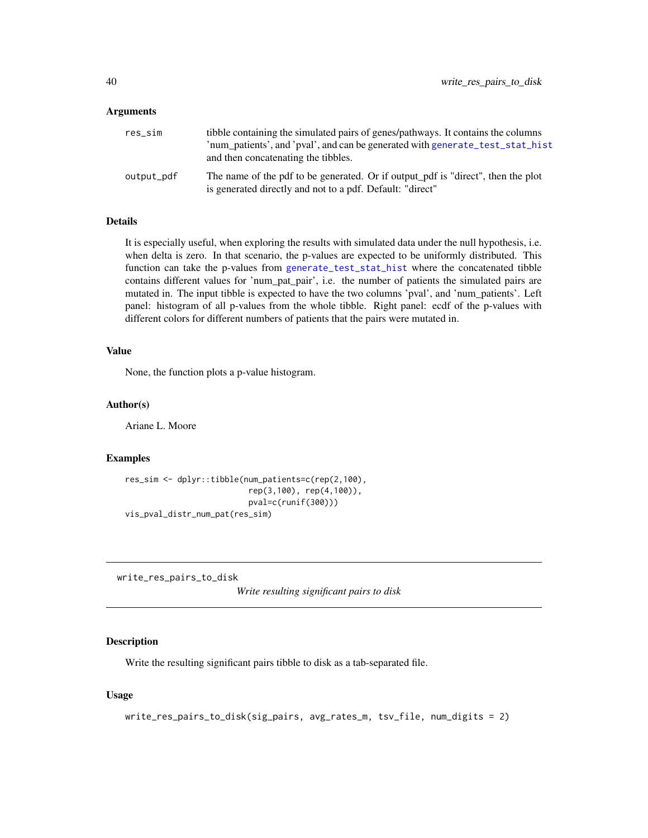#### <span id="page-39-0"></span>**Arguments**

| res_sim    | tibble containing the simulated pairs of genes/pathways. It contains the columns<br>'num patients', and 'pval', and can be generated with generate_test_stat_hist<br>and then concatenating the tibbles. |
|------------|----------------------------------------------------------------------------------------------------------------------------------------------------------------------------------------------------------|
| output_pdf | The name of the pdf to be generated. Or if output pdf is "direct", then the plot<br>is generated directly and not to a pdf. Default: "direct"                                                            |

# Details

It is especially useful, when exploring the results with simulated data under the null hypothesis, i.e. when delta is zero. In that scenario, the p-values are expected to be uniformly distributed. This function can take the p-values from [generate\\_test\\_stat\\_hist](#page-23-1) where the concatenated tibble contains different values for 'num\_pat\_pair', i.e. the number of patients the simulated pairs are mutated in. The input tibble is expected to have the two columns 'pval', and 'num\_patients'. Left panel: histogram of all p-values from the whole tibble. Right panel: ecdf of the p-values with different colors for different numbers of patients that the pairs were mutated in.

#### Value

None, the function plots a p-value histogram.

#### Author(s)

Ariane L. Moore

#### Examples

```
res_sim <- dplyr::tibble(num_patients=c(rep(2,100),
                          rep(3,100), rep(4,100)),
                          pval=c(runif(300)))
vis_pval_distr_num_pat(res_sim)
```
write\_res\_pairs\_to\_disk

*Write resulting significant pairs to disk*

#### Description

Write the resulting significant pairs tibble to disk as a tab-separated file.

#### Usage

```
write_res_pairs_to_disk(sig_pairs, avg_rates_m, tsv_file, num_digits = 2)
```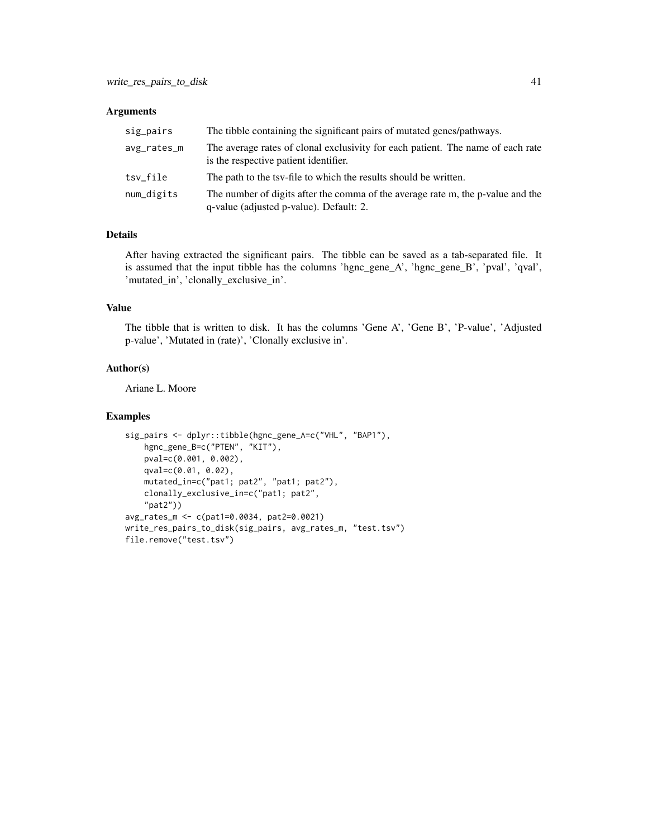#### Arguments

| sig_pairs   | The tibble containing the significant pairs of mutated genes/pathways.                                                     |
|-------------|----------------------------------------------------------------------------------------------------------------------------|
| avg_rates_m | The average rates of clonal exclusivity for each patient. The name of each rate<br>is the respective patient identifier.   |
| tsv_file    | The path to the tsy-file to which the results should be written.                                                           |
| num_digits  | The number of digits after the comma of the average rate m, the p-value and the<br>q-value (adjusted p-value). Default: 2. |

# Details

After having extracted the significant pairs. The tibble can be saved as a tab-separated file. It is assumed that the input tibble has the columns 'hgnc\_gene\_A', 'hgnc\_gene\_B', 'pval', 'qval', 'mutated\_in', 'clonally\_exclusive\_in'.

# Value

The tibble that is written to disk. It has the columns 'Gene A', 'Gene B', 'P-value', 'Adjusted p-value', 'Mutated in (rate)', 'Clonally exclusive in'.

#### Author(s)

Ariane L. Moore

```
sig_pairs <- dplyr::tibble(hgnc_gene_A=c("VHL", "BAP1"),
   hgnc_gene_B=c("PTEN", "KIT"),
   pval=c(0.001, 0.002),
   qval=c(0.01, 0.02),
   mutated_in=c("pat1; pat2", "pat1; pat2"),
   clonally_exclusive_in=c("pat1; pat2",
    "pat2"))
avg_rates_m <- c(pat1=0.0034, pat2=0.0021)
write_res_pairs_to_disk(sig_pairs, avg_rates_m, "test.tsv")
file.remove("test.tsv")
```